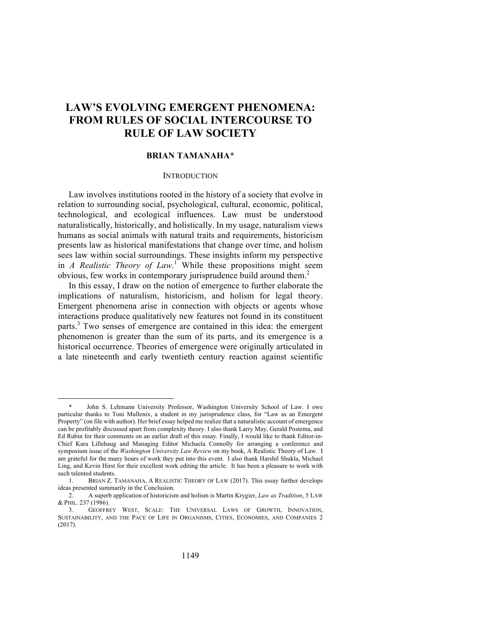# **LAW'S EVOLVING EMERGENT PHENOMENA: FROM RULES OF SOCIAL INTERCOURSE TO RULE OF LAW SOCIETY**

# **BRIAN TAMANAHA**\*

## **INTRODUCTION**

Law involves institutions rooted in the history of a society that evolve in relation to surrounding social, psychological, cultural, economic, political, technological, and ecological influences. Law must be understood naturalistically, historically, and holistically. In my usage, naturalism views humans as social animals with natural traits and requirements, historicism presents law as historical manifestations that change over time, and holism sees law within social surroundings. These insights inform my perspective in *A Realistic Theory of Law*.<sup>1</sup> While these propositions might seem obvious, few works in contemporary jurisprudence build around them. 2

In this essay, I draw on the notion of emergence to further elaborate the implications of naturalism, historicism, and holism for legal theory. Emergent phenomena arise in connection with objects or agents whose interactions produce qualitatively new features not found in its constituent parts.<sup>3</sup> Two senses of emergence are contained in this idea: the emergent phenomenon is greater than the sum of its parts, and its emergence is a historical occurrence. Theories of emergence were originally articulated in a late nineteenth and early twentieth century reaction against scientific

John S. Lehmann University Professor, Washington University School of Law. I owe particular thanks to Toni Mullenix, a student in my jurisprudence class, for "Law as an Emergent Property" (on file with author). Her brief essay helped me realize that a naturalistic account of emergence can be profitably discussed apart from complexity theory. I also thank Larry May, Gerald Postema, and Ed Rubin for their comments on an earlier draft of this essay. Finally, I would like to thank Editor-in-Chief Kara Lillehaug and Managing Editor Michaela Connolly for arranging a conference and symposium issue of the *Washington University Law Review* on my book, A Realistic Theory of Law. I am grateful for the many hours of work they put into this event. I also thank Harshil Shukla, Michael Ling, and Kevin Hirst for their excellent work editing the article. It has been a pleasure to work with such talented students.

<sup>1.</sup> BRIAN Z. TAMANAHA, A REALISTIC THEORY OF LAW (2017). This essay further develops ideas presented summarily in the Conclusion.

<sup>2.</sup> A superb application of historicism and holism is Martin Krygier, *Law as Tradition*, 5 LAW & PHIL. 237 (1986).

<sup>3.</sup> GEOFFREY WEST, SCALE: THE UNIVERSAL LAWS OF GROWTH, INNOVATION, SUSTAINABILITY, AND THE PACE OF LIFE IN ORGANISMS, CITIES, ECONOMIES, AND COMPANIES 2 (2017).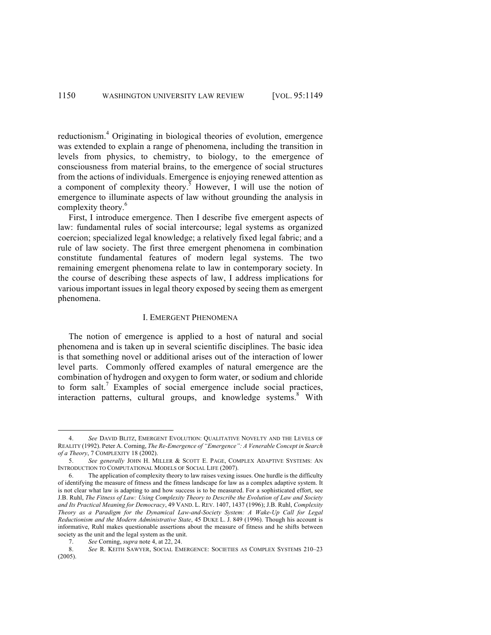reductionism.<sup>4</sup> Originating in biological theories of evolution, emergence was extended to explain a range of phenomena, including the transition in levels from physics, to chemistry, to biology, to the emergence of consciousness from material brains, to the emergence of social structures from the actions of individuals. Emergence is enjoying renewed attention as a component of complexity theory.<sup>5</sup> However, I will use the notion of emergence to illuminate aspects of law without grounding the analysis in complexity theory.<sup>6</sup>

First, I introduce emergence. Then I describe five emergent aspects of law: fundamental rules of social intercourse; legal systems as organized coercion; specialized legal knowledge; a relatively fixed legal fabric; and a rule of law society. The first three emergent phenomena in combination constitute fundamental features of modern legal systems. The two remaining emergent phenomena relate to law in contemporary society. In the course of describing these aspects of law, I address implications for various important issues in legal theory exposed by seeing them as emergent phenomena.

## I. EMERGENT PHENOMENA

The notion of emergence is applied to a host of natural and social phenomena and is taken up in several scientific disciplines. The basic idea is that something novel or additional arises out of the interaction of lower level parts. Commonly offered examples of natural emergence are the combination of hydrogen and oxygen to form water, or sodium and chloride to form salt.<sup>7</sup> Examples of social emergence include social practices, interaction patterns, cultural groups, and knowledge systems.<sup>8</sup> With

 <sup>4.</sup> *See* DAVID BLITZ, EMERGENT EVOLUTION: QUALITATIVE NOVELTY AND THE LEVELS OF REALITY (1992). Peter A. Corning, *The Re-Emergence of "Emergence": A Venerable Concept in Search of a Theory*, 7 COMPLEXITY 18 (2002).

<sup>5.</sup> *See generally* JOHN H. MILLER & SCOTT E. PAGE, COMPLEX ADAPTIVE SYSTEMS: AN INTRODUCTION TO COMPUTATIONAL MODELS OF SOCIAL LIFE (2007).

<sup>6.</sup> The application of complexity theory to law raises vexing issues. One hurdle is the difficulty of identifying the measure of fitness and the fitness landscape for law as a complex adaptive system. It is not clear what law is adapting to and how success is to be measured. For a sophisticated effort, see J.B. Ruhl, *The Fitness of Law: Using Complexity Theory to Describe the Evolution of Law and Society and Its Practical Meaning for Democracy*, 49 VAND. L. REV. 1407, 1437 (1996); J.B. Ruhl, *Complexity Theory as a Paradigm for the Dynamical Law-and-Society System: A Wake-Up Call for Legal Reductionism and the Modern Administrative State*, 45 DUKE L. J. 849 (1996). Though his account is informative, Ruhl makes questionable assertions about the measure of fitness and he shifts between society as the unit and the legal system as the unit.

<sup>7.</sup> *See* Corning, *supra* note 4, at 22, 24.

<sup>8.</sup> *See* R. KEITH SAWYER, SOCIAL EMERGENCE: SOCIETIES AS COMPLEX SYSTEMS 210–23 (2005).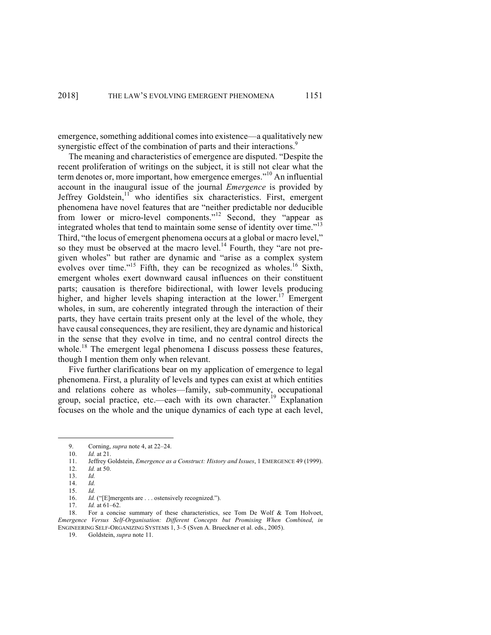emergence, something additional comes into existence—a qualitatively new synergistic effect of the combination of parts and their interactions.<sup>9</sup>

The meaning and characteristics of emergence are disputed. "Despite the recent proliferation of writings on the subject, it is still not clear what the term denotes or, more important, how emergence emerges."<sup>10</sup> An influential account in the inaugural issue of the journal *Emergence* is provided by Jeffrey Goldstein, $11$  who identifies six characteristics. First, emergent phenomena have novel features that are "neither predictable nor deducible from lower or micro-level components."<sup>12</sup> Second, they "appear as integrated wholes that tend to maintain some sense of identity over time."<sup>13</sup> Third, "the locus of emergent phenomena occurs at a global or macro level," so they must be observed at the macro level. $^{14}$  Fourth, they "are not pregiven wholes" but rather are dynamic and "arise as a complex system evolves over time."<sup>15</sup> Fifth, they can be recognized as wholes.<sup>16</sup> Sixth, emergent wholes exert downward causal influences on their constituent parts; causation is therefore bidirectional, with lower levels producing higher, and higher levels shaping interaction at the lower.<sup>17</sup> Emergent wholes, in sum, are coherently integrated through the interaction of their parts, they have certain traits present only at the level of the whole, they have causal consequences, they are resilient, they are dynamic and historical in the sense that they evolve in time, and no central control directs the whole.<sup>18</sup> The emergent legal phenomena I discuss possess these features, though I mention them only when relevant.

Five further clarifications bear on my application of emergence to legal phenomena. First, a plurality of levels and types can exist at which entities and relations cohere as wholes—family, sub-community, occupational group, social practice, etc.—each with its own character.<sup>19</sup> Explanation focuses on the whole and the unique dynamics of each type at each level,

- 10. *Id.* at 21.
- 11. Jeffrey Goldstein, *Emergence as a Construct: History and Issues*, 1 EMERGENCE 49 (1999).
- 12. *Id.* at 50.
- 13. *Id.* 14. *Id.*
- 15. *Id.*

17. *Id.* at 61–62.

18. For a concise summary of these characteristics, see Tom De Wolf & Tom Holvoet, *Emergence Versus Self-Organisation: Different Concepts but Promising When Combined*, *in* ENGINEERING SELF-ORGANIZING SYSTEMS 1, 3–5 (Sven A. Brueckner et al. eds., 2005).

19. Goldstein, *supra* note 11.

<sup>9.</sup> Corning, *supra* note 4, at 22–24.<br>10. *Id.* at 21.

<sup>16.</sup> *Id.* ("[E]mergents are . . . ostensively recognized.").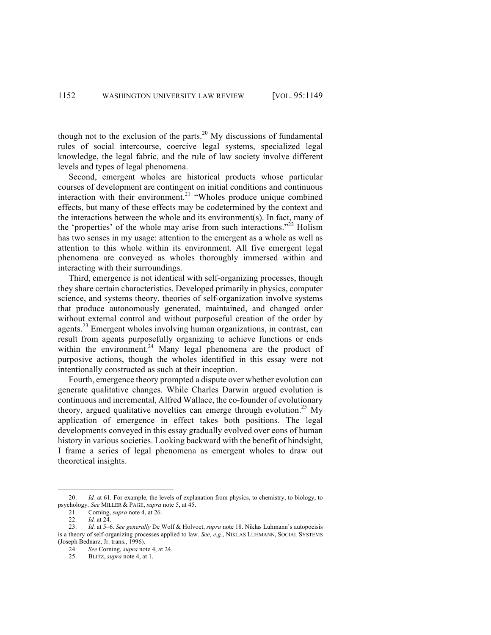though not to the exclusion of the parts.<sup>20</sup> My discussions of fundamental rules of social intercourse, coercive legal systems, specialized legal knowledge, the legal fabric, and the rule of law society involve different levels and types of legal phenomena.

Second, emergent wholes are historical products whose particular courses of development are contingent on initial conditions and continuous interaction with their environment.<sup>21</sup> "Wholes produce unique combined effects, but many of these effects may be codetermined by the context and the interactions between the whole and its environment(s). In fact, many of the 'properties' of the whole may arise from such interactions."<sup>22</sup> Holism has two senses in my usage: attention to the emergent as a whole as well as attention to this whole within its environment. All five emergent legal phenomena are conveyed as wholes thoroughly immersed within and interacting with their surroundings.

Third, emergence is not identical with self-organizing processes, though they share certain characteristics. Developed primarily in physics, computer science, and systems theory, theories of self-organization involve systems that produce autonomously generated, maintained, and changed order without external control and without purposeful creation of the order by agents.<sup>23</sup> Emergent wholes involving human organizations, in contrast, can result from agents purposefully organizing to achieve functions or ends within the environment.<sup>24</sup> Many legal phenomena are the product of purposive actions, though the wholes identified in this essay were not intentionally constructed as such at their inception.

Fourth, emergence theory prompted a dispute over whether evolution can generate qualitative changes. While Charles Darwin argued evolution is continuous and incremental, Alfred Wallace, the co-founder of evolutionary theory, argued qualitative novelties can emerge through evolution.<sup>25</sup> My application of emergence in effect takes both positions. The legal developments conveyed in this essay gradually evolved over eons of human history in various societies. Looking backward with the benefit of hindsight, I frame a series of legal phenomena as emergent wholes to draw out theoretical insights.

 <sup>20.</sup> *Id.* at 61. For example, the levels of explanation from physics, to chemistry, to biology, to psychology. *See* MILLER & PAGE, *supra* note 5, at 45.

<sup>21.</sup> Corning, *supra* note 4, at 26.

<sup>22.</sup> *Id.* at 24.

<sup>23.</sup> *Id.* at 5–6. *See generally* De Wolf & Holvoet, *supra* note 18. Niklas Luhmann's autopoeisis is a theory of self-organizing processes applied to law. *See, e.g.*, NIKLAS LUHMANN, SOCIAL SYSTEMS (Joseph Bednarz, Jr. trans., 1996).

<sup>24.</sup> *See* Corning, *supra* note 4, at 24.

<sup>25.</sup> BLITZ, *supra* note 4, at 1.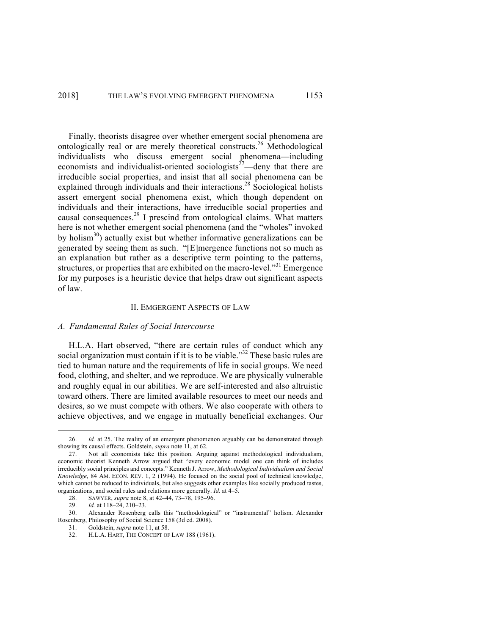Finally, theorists disagree over whether emergent social phenomena are ontologically real or are merely theoretical constructs. <sup>26</sup> Methodological individualists who discuss emergent social phenomena—including economists and individualist-oriented sociologists<sup>27</sup>—deny that there are irreducible social properties, and insist that all social phenomena can be explained through individuals and their interactions.<sup>28</sup> Sociological holists assert emergent social phenomena exist, which though dependent on individuals and their interactions, have irreducible social properties and causal consequences. <sup>29</sup> I prescind from ontological claims. What matters here is not whether emergent social phenomena (and the "wholes" invoked by holism $30$ ) actually exist but whether informative generalizations can be generated by seeing them as such. "[E]mergence functions not so much as an explanation but rather as a descriptive term pointing to the patterns, structures, or properties that are exhibited on the macro-level."<sup>31</sup> Emergence for my purposes is a heuristic device that helps draw out significant aspects of law.

#### II. EMGERGENT ASPECTS OF LAW

## *A. Fundamental Rules of Social Intercourse*

H.L.A. Hart observed, "there are certain rules of conduct which any social organization must contain if it is to be viable."<sup>32</sup> These basic rules are tied to human nature and the requirements of life in social groups. We need food, clothing, and shelter, and we reproduce. We are physically vulnerable and roughly equal in our abilities. We are self-interested and also altruistic toward others. There are limited available resources to meet our needs and desires, so we must compete with others. We also cooperate with others to achieve objectives, and we engage in mutually beneficial exchanges. Our

 <sup>26.</sup> *Id.* at 25. The reality of an emergent phenomenon arguably can be demonstrated through showing its causal effects. Goldstein, *supra* note 11, at 62.

<sup>27.</sup> Not all economists take this position. Arguing against methodological individualism, economic theorist Kenneth Arrow argued that "every economic model one can think of includes irreducibly social principles and concepts." Kenneth J. Arrow, *Methodological Individualism and Social Knowledge*, 84 AM. ECON. REV. 1, 2 (1994). He focused on the social pool of technical knowledge, which cannot be reduced to individuals, but also suggests other examples like socially produced tastes, organizations, and social rules and relations more generally. *Id.* at 4–5.

<sup>28.</sup> SAWYER, *supra* note 8, at 42–44, 73–78, 195–96.

<sup>29.</sup> *Id.* at 118–24, 210–23.

<sup>30.</sup> Alexander Rosenberg calls this "methodological" or "instrumental" holism. Alexander Rosenberg, Philosophy of Social Science 158 (3d ed. 2008).

<sup>31.</sup> Goldstein, *supra* note 11, at 58.

<sup>32.</sup> H.L.A. HART, THE CONCEPT OF LAW 188 (1961).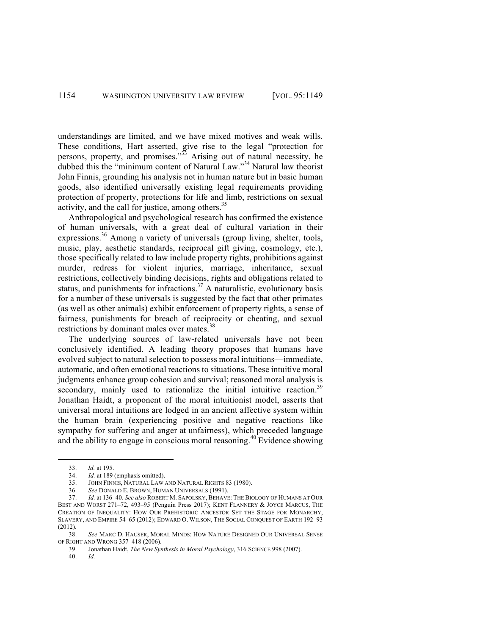understandings are limited, and we have mixed motives and weak wills. These conditions, Hart asserted, give rise to the legal "protection for persons, property, and promises.<sup>33</sup> Arising out of natural necessity, he dubbed this the "minimum content of Natural Law."<sup>34</sup> Natural law theorist John Finnis, grounding his analysis not in human nature but in basic human goods, also identified universally existing legal requirements providing protection of property, protections for life and limb, restrictions on sexual activity, and the call for justice, among others.<sup>35</sup>

Anthropological and psychological research has confirmed the existence of human universals, with a great deal of cultural variation in their expressions.<sup>36</sup> Among a variety of universals (group living, shelter, tools, music, play, aesthetic standards, reciprocal gift giving, cosmology, etc.), those specifically related to law include property rights, prohibitions against murder, redress for violent injuries, marriage, inheritance, sexual restrictions, collectively binding decisions, rights and obligations related to status, and punishments for infractions.<sup>37</sup> A naturalistic, evolutionary basis for a number of these universals is suggested by the fact that other primates (as well as other animals) exhibit enforcement of property rights, a sense of fairness, punishments for breach of reciprocity or cheating, and sexual restrictions by dominant males over mates.<sup>38</sup>

The underlying sources of law-related universals have not been conclusively identified. A leading theory proposes that humans have evolved subject to natural selection to possess moral intuitions—immediate, automatic, and often emotional reactions to situations. These intuitive moral judgments enhance group cohesion and survival; reasoned moral analysis is secondary, mainly used to rationalize the initial intuitive reaction.<sup>39</sup> Jonathan Haidt, a proponent of the moral intuitionist model, asserts that universal moral intuitions are lodged in an ancient affective system within the human brain (experiencing positive and negative reactions like sympathy for suffering and anger at unfairness), which preceded language and the ability to engage in conscious moral reasoning.<sup>40</sup> Evidence showing

 <sup>33.</sup> *Id.* at 195.

<sup>34.</sup> *Id.* at 189 (emphasis omitted).

<sup>35.</sup> JOHN FINNIS, NATURAL LAW AND NATURAL RIGHTS 83 (1980).

<sup>36.</sup> *See* DONALD E. BROWN, HUMAN UNIVERSALS (1991).

<sup>37.</sup> *Id.* at 136–40. *See also* ROBERT M. SAPOLSKY, BEHAVE: THE BIOLOGY OF HUMANS AT OUR BEST AND WORST 271–72, 493–95 (Penguin Press 2017); KENT FLANNERY & JOYCE MARCUS, THE CREATION OF INEQUALITY: HOW OUR PREHISTORIC ANCESTOR SET THE STAGE FOR MONARCHY, SLAVERY, AND EMPIRE 54–65 (2012); EDWARD O. WILSON, THE SOCIAL CONQUEST OF EARTH 192–93 (2012).

<sup>38.</sup> *See* MARC D. HAUSER, MORAL MINDS: HOW NATURE DESIGNED OUR UNIVERSAL SENSE OF RIGHT AND WRONG 357–418 (2006).

<sup>39.</sup> Jonathan Haidt, *The New Synthesis in Moral Psychology*, 316 SCIENCE 998 (2007).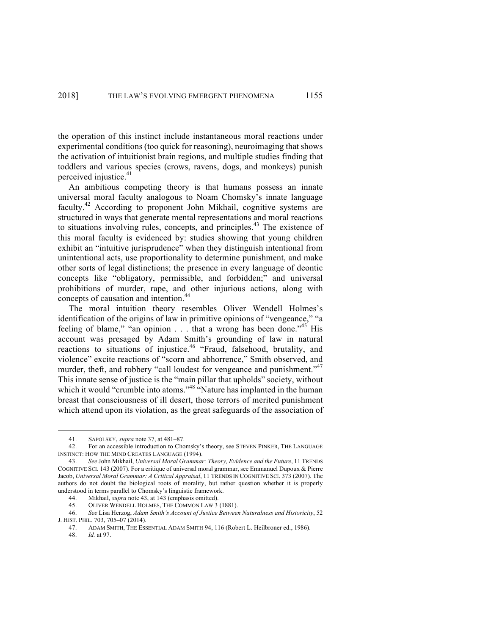the operation of this instinct include instantaneous moral reactions under experimental conditions (too quick for reasoning), neuroimaging that shows the activation of intuitionist brain regions, and multiple studies finding that toddlers and various species (crows, ravens, dogs, and monkeys) punish perceived injustice.<sup>41</sup>

An ambitious competing theory is that humans possess an innate universal moral faculty analogous to Noam Chomsky's innate language faculty.<sup>42</sup> According to proponent John Mikhail, cognitive systems are structured in ways that generate mental representations and moral reactions to situations involving rules, concepts, and principles. <sup>43</sup> The existence of this moral faculty is evidenced by: studies showing that young children exhibit an "intuitive jurisprudence" when they distinguish intentional from unintentional acts, use proportionality to determine punishment, and make other sorts of legal distinctions; the presence in every language of deontic concepts like "obligatory, permissible, and forbidden;" and universal prohibitions of murder, rape, and other injurious actions, along with concepts of causation and intention.<sup>44</sup>

The moral intuition theory resembles Oliver Wendell Holmes's identification of the origins of law in primitive opinions of "vengeance," "a feeling of blame," "an opinion  $\ldots$  that a wrong has been done."<sup>45</sup> His account was presaged by Adam Smith's grounding of law in natural reactions to situations of injustice.<sup>46</sup> "Fraud, falsehood, brutality, and violence" excite reactions of "scorn and abhorrence," Smith observed, and murder, theft, and robbery "call loudest for vengeance and punishment."<sup>47</sup> This innate sense of justice is the "main pillar that upholds" society, without which it would "crumble into atoms."<sup>48</sup> "Nature has implanted in the human breast that consciousness of ill desert, those terrors of merited punishment which attend upon its violation, as the great safeguards of the association of

 <sup>41.</sup> SAPOLSKY, *supra* note 37, at 481–87.

<sup>42.</sup> For an accessible introduction to Chomsky's theory, see STEVEN PINKER, THE LANGUAGE INSTINCT: HOW THE MIND CREATES LANGUAGE (1994).

<sup>43.</sup> *See* John Mikhail, *Universal Moral Grammar: Theory, Evidence and the Future*, 11 TRENDS COGNITIVE SCI. 143 (2007). For a critique of universal moral grammar, see Emmanuel Dupoux & Pierre Jacob, *Universal Moral Grammar: A Critical Appraisal*, 11 TRENDS IN COGNITIVE SCI. 373 (2007). The authors do not doubt the biological roots of morality, but rather question whether it is properly understood in terms parallel to Chomsky's linguistic framework.

<sup>44.</sup> Mikhail, *supra* note 43, at 143 (emphasis omitted).

<sup>45.</sup> OLIVER WENDELL HOLMES, THE COMMON LAW 3 (1881).

<sup>46.</sup> *See* Lisa Herzog, *Adam Smith's Account of Justice Between Naturalness and Historicity*, 52 J. HIST. PHIL. 703, 705–07 (2014).

<sup>47.</sup> ADAM SMITH, THE ESSENTIAL ADAM SMITH 94, 116 (Robert L. Heilbroner ed., 1986).

<sup>48.</sup> *Id.* at 97.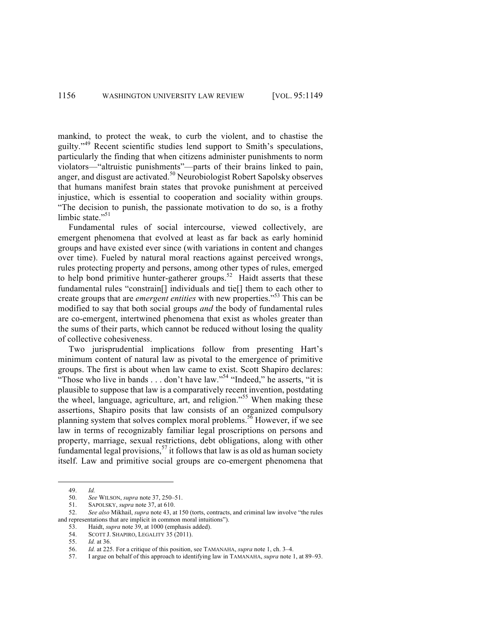mankind, to protect the weak, to curb the violent, and to chastise the guilty."<sup>49</sup> Recent scientific studies lend support to Smith's speculations, particularly the finding that when citizens administer punishments to norm violators—"altruistic punishments"—parts of their brains linked to pain, anger, and disgust are activated.<sup>50</sup> Neurobiologist Robert Sapolsky observes that humans manifest brain states that provoke punishment at perceived injustice, which is essential to cooperation and sociality within groups. "The decision to punish, the passionate motivation to do so, is a frothy limbic state."<sup>51</sup>

Fundamental rules of social intercourse, viewed collectively, are emergent phenomena that evolved at least as far back as early hominid groups and have existed ever since (with variations in content and changes over time). Fueled by natural moral reactions against perceived wrongs, rules protecting property and persons, among other types of rules, emerged to help bond primitive hunter-gatherer groups.<sup>52</sup> Haidt asserts that these fundamental rules "constrain<sup>[]</sup> individuals and tie<sup>[]</sup> them to each other to create groups that are *emergent entities* with new properties."<sup>53</sup> This can be modified to say that both social groups *and* the body of fundamental rules are co-emergent, intertwined phenomena that exist as wholes greater than the sums of their parts, which cannot be reduced without losing the quality of collective cohesiveness.

Two jurisprudential implications follow from presenting Hart's minimum content of natural law as pivotal to the emergence of primitive groups. The first is about when law came to exist. Scott Shapiro declares: "Those who live in bands . . . don't have law."<sup>54</sup> "Indeed," he asserts, "it is plausible to suppose that law is a comparatively recent invention, postdating the wheel, language, agriculture, art, and religion."<sup>55</sup> When making these assertions, Shapiro posits that law consists of an organized compulsory planning system that solves complex moral problems.<sup>56</sup> However, if we see law in terms of recognizably familiar legal proscriptions on persons and property, marriage, sexual restrictions, debt obligations, along with other fundamental legal provisions,  $57$  it follows that law is as old as human society itself. Law and primitive social groups are co-emergent phenomena that

 <sup>49.</sup> *Id.*

<sup>50.</sup> *See* WILSON, *supra* note 37, 250–51.

<sup>51.</sup> SAPOLSKY, *supra* note 37, at 610.

<sup>52.</sup> *See also* Mikhail, *supra* note 43, at 150 (torts, contracts, and criminal law involve "the rules and representations that are implicit in common moral intuitions").

<sup>53.</sup> Haidt, *supra* note 39, at 1000 (emphasis added).

<sup>54.</sup> SCOTT J. SHAPIRO, LEGALITY 35 (2011).

<sup>55.</sup> *Id.* at 36.

<sup>56.</sup> *Id.* at 225. For a critique of this position, see TAMANAHA, *supra* note 1, ch. 3–4.

<sup>57.</sup> I argue on behalf of this approach to identifying law in TAMANAHA, *supra* note 1, at 89–93.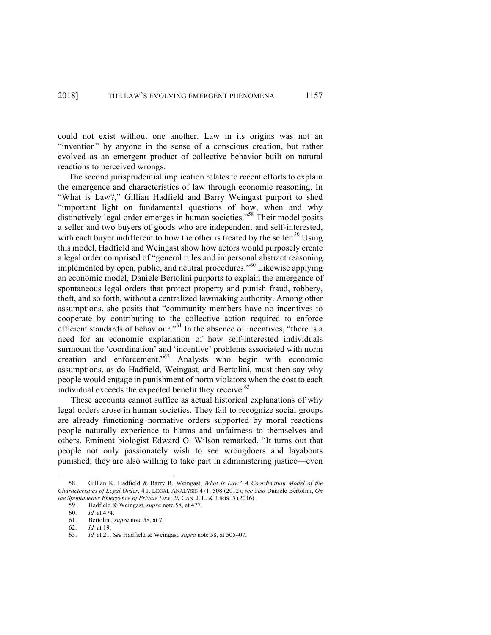could not exist without one another. Law in its origins was not an "invention" by anyone in the sense of a conscious creation, but rather evolved as an emergent product of collective behavior built on natural reactions to perceived wrongs.

The second jurisprudential implication relates to recent efforts to explain the emergence and characteristics of law through economic reasoning. In "What is Law?," Gillian Hadfield and Barry Weingast purport to shed "important light on fundamental questions of how, when and why distinctively legal order emerges in human societies."<sup>58</sup> Their model posits a seller and two buyers of goods who are independent and self-interested, with each buyer indifferent to how the other is treated by the seller.<sup>59</sup> Using this model, Hadfield and Weingast show how actors would purposely create a legal order comprised of "general rules and impersonal abstract reasoning implemented by open, public, and neutral procedures."<sup>60</sup> Likewise applying an economic model, Daniele Bertolini purports to explain the emergence of spontaneous legal orders that protect property and punish fraud, robbery, theft, and so forth, without a centralized lawmaking authority. Among other assumptions, she posits that "community members have no incentives to cooperate by contributing to the collective action required to enforce efficient standards of behaviour."<sup>61</sup> In the absence of incentives, "there is a need for an economic explanation of how self-interested individuals surmount the 'coordination' and 'incentive' problems associated with norm creation and enforcement."<sup>62</sup> Analysts who begin with economic assumptions, as do Hadfield, Weingast, and Bertolini, must then say why people would engage in punishment of norm violators when the cost to each individual exceeds the expected benefit they receive.<sup>63</sup>

These accounts cannot suffice as actual historical explanations of why legal orders arose in human societies. They fail to recognize social groups are already functioning normative orders supported by moral reactions people naturally experience to harms and unfairness to themselves and others. Eminent biologist Edward O. Wilson remarked, "It turns out that people not only passionately wish to see wrongdoers and layabouts punished; they are also willing to take part in administering justice—even

 <sup>58.</sup> Gillian K. Hadfield & Barry R. Weingast, *What is Law? A Coordination Model of the Characteristics of Legal Order*, 4 J. LEGAL ANALYSIS 471, 508 (2012); *see also* Daniele Bertolini, *On the Spontaneous Emergence of Private Law*, 29 CAN. J. L. & JURIS. 5 (2016).

<sup>59.</sup> Hadfield & Weingast, *supra* note 58, at 477.

<sup>60.</sup> *Id.* at 474.

<sup>61.</sup> Bertolini, *supra* note 58, at 7.

<sup>62.</sup> *Id.* at 19.

<sup>63.</sup> *Id.* at 21. *See* Hadfield & Weingast, *supra* note 58, at 505–07.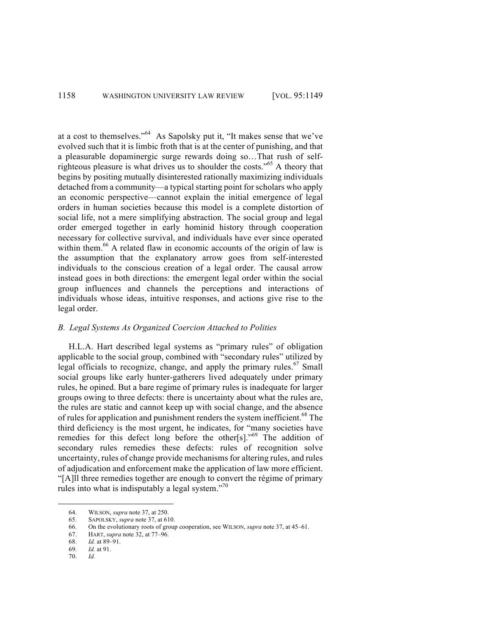at a cost to themselves."<sup>64</sup> As Sapolsky put it, "It makes sense that we've evolved such that it is limbic froth that is at the center of punishing, and that a pleasurable dopaminergic surge rewards doing so…That rush of selfrighteous pleasure is what drives us to shoulder the costs."65 A theory that begins by positing mutually disinterested rationally maximizing individuals detached from a community—a typical starting point for scholars who apply an economic perspective—cannot explain the initial emergence of legal orders in human societies because this model is a complete distortion of social life, not a mere simplifying abstraction. The social group and legal order emerged together in early hominid history through cooperation necessary for collective survival, and individuals have ever since operated within them.<sup>66</sup> A related flaw in economic accounts of the origin of law is the assumption that the explanatory arrow goes from self-interested individuals to the conscious creation of a legal order. The causal arrow instead goes in both directions: the emergent legal order within the social group influences and channels the perceptions and interactions of individuals whose ideas, intuitive responses, and actions give rise to the legal order.

# *B. Legal Systems As Organized Coercion Attached to Polities*

H.L.A. Hart described legal systems as "primary rules" of obligation applicable to the social group, combined with "secondary rules" utilized by legal officials to recognize, change, and apply the primary rules.<sup>67</sup> Small social groups like early hunter-gatherers lived adequately under primary rules, he opined. But a bare regime of primary rules is inadequate for larger groups owing to three defects: there is uncertainty about what the rules are, the rules are static and cannot keep up with social change, and the absence of rules for application and punishment renders the system inefficient.<sup>68</sup> The third deficiency is the most urgent, he indicates, for "many societies have remedies for this defect long before the other[s]."<sup>69</sup> The addition of secondary rules remedies these defects: rules of recognition solve uncertainty, rules of change provide mechanisms for altering rules, and rules of adjudication and enforcement make the application of law more efficient. "[A]ll three remedies together are enough to convert the régime of primary rules into what is indisputably a legal system. $170$ 

 <sup>64.</sup> WILSON, *supra* note 37, at 250.

<sup>65.</sup> SAPOLSKY, *supra* note 37, at 610.

<sup>66.</sup> On the evolutionary roots of group cooperation, see WILSON, *supra* note 37, at 45–61.

<sup>67.</sup> HART, *supra* note 32, at 77–96.

<sup>68.</sup> *Id.* at 89–91.

<sup>69.</sup> *Id.* at 91.

<sup>70.</sup> *Id.*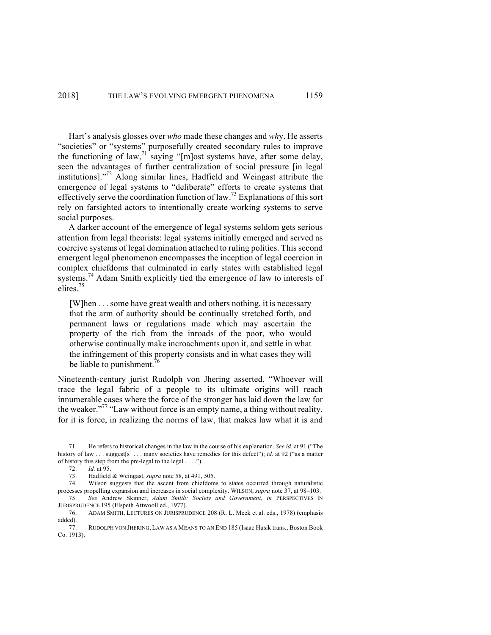Hart's analysis glosses over *who* made these changes and *wh*y. He asserts "societies" or "systems" purposefully created secondary rules to improve the functioning of law,  $\frac{1}{2}$  saying "[m]ost systems have, after some delay, seen the advantages of further centralization of social pressure [in legal institutions]." <sup>72</sup> Along similar lines, Hadfield and Weingast attribute the emergence of legal systems to "deliberate" efforts to create systems that effectively serve the coordination function of law.<sup>73</sup> Explanations of this sort rely on farsighted actors to intentionally create working systems to serve social purposes.

A darker account of the emergence of legal systems seldom gets serious attention from legal theorists: legal systems initially emerged and served as coercive systems of legal domination attached to ruling polities. This second emergent legal phenomenon encompasses the inception of legal coercion in complex chiefdoms that culminated in early states with established legal systems.<sup>74</sup> Adam Smith explicitly tied the emergence of law to interests of elites. 75

[W]hen . . . some have great wealth and others nothing, it is necessary that the arm of authority should be continually stretched forth, and permanent laws or regulations made which may ascertain the property of the rich from the inroads of the poor, who would otherwise continually make incroachments upon it, and settle in what the infringement of this property consists and in what cases they will be liable to punishment.<sup>76</sup>

Nineteenth-century jurist Rudolph von Jhering asserted, "Whoever will trace the legal fabric of a people to its ultimate origins will reach innumerable cases where the force of the stronger has laid down the law for the weaker."<sup>77</sup> "Law without force is an empty name, a thing without reality, for it is force, in realizing the norms of law, that makes law what it is and

 <sup>71.</sup> He refers to historical changes in the law in the course of his explanation. *See id.* at 91 ("The history of law . . . suggest[s] . . . many societies have remedies for this defect"); *id.* at 92 ("as a matter of history this step from the pre-legal to the legal . . . .").

<sup>72.</sup> *Id.* at 95.

<sup>73.</sup> Hadfield & Weingast, *supra* note 58, at 491, 505.

Wilson suggests that the ascent from chiefdoms to states occurred through naturalistic processes propelling expansion and increases in social complexity. WILSON, *supra* note 37, at 98–103.

<sup>75.</sup> *See* Andrew Skinner, *Adam Smith: Society and Government*, *in* PERSPECTIVES IN JURISPRUDENCE 195 (Elspeth Attwooll ed., 1977).

<sup>76.</sup> ADAM SMITH, LECTURES ON JURISPRUDENCE 208 (R. L. Meek et al. eds., 1978) (emphasis added).

<sup>77.</sup> RUDOLPH VON JHERING, LAW AS A MEANS TO AN END 185 (Isaac Husik trans., Boston Book Co. 1913).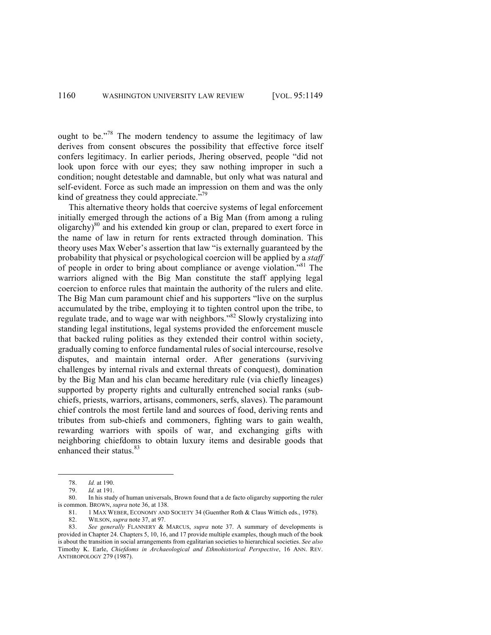ought to be."<sup>78</sup> The modern tendency to assume the legitimacy of law derives from consent obscures the possibility that effective force itself confers legitimacy. In earlier periods, Jhering observed, people "did not look upon force with our eyes; they saw nothing improper in such a condition; nought detestable and damnable, but only what was natural and self-evident. Force as such made an impression on them and was the only kind of greatness they could appreciate."<sup>9</sup>

This alternative theory holds that coercive systems of legal enforcement initially emerged through the actions of a Big Man (from among a ruling oligarchy) <sup>80</sup> and his extended kin group or clan, prepared to exert force in the name of law in return for rents extracted through domination. This theory uses Max Weber's assertion that law "is externally guaranteed by the probability that physical or psychological coercion will be applied by a *staff* of people in order to bring about compliance or avenge violation."<sup>81</sup> The warriors aligned with the Big Man constitute the staff applying legal coercion to enforce rules that maintain the authority of the rulers and elite. The Big Man cum paramount chief and his supporters "live on the surplus accumulated by the tribe, employing it to tighten control upon the tribe, to regulate trade, and to wage war with neighbors."<sup>82</sup> Slowly crystalizing into standing legal institutions, legal systems provided the enforcement muscle that backed ruling polities as they extended their control within society, gradually coming to enforce fundamental rules of social intercourse, resolve disputes, and maintain internal order. After generations (surviving challenges by internal rivals and external threats of conquest), domination by the Big Man and his clan became hereditary rule (via chiefly lineages) supported by property rights and culturally entrenched social ranks (subchiefs, priests, warriors, artisans, commoners, serfs, slaves). The paramount chief controls the most fertile land and sources of food, deriving rents and tributes from sub-chiefs and commoners, fighting wars to gain wealth, rewarding warriors with spoils of war, and exchanging gifts with neighboring chiefdoms to obtain luxury items and desirable goods that enhanced their status.<sup>83</sup>

 <sup>78.</sup> *Id.* at 190.

<sup>79.</sup> *Id.* at 191.

<sup>80.</sup> In his study of human universals, Brown found that a de facto oligarchy supporting the ruler is common. BROWN, *supra* note 36, at 138.

<sup>81.</sup> 1 MAX WEBER, ECONOMY AND SOCIETY 34 (Guenther Roth & Claus Wittich eds., 1978).

<sup>82.</sup> WILSON, *supra* note 37, at 97.

<sup>83.</sup> *See generally* FLANNERY & MARCUS, *supra* note 37. A summary of developments is provided in Chapter 24. Chapters 5, 10, 16, and 17 provide multiple examples, though much of the book is about the transition in social arrangements from egalitarian societies to hierarchical societies. *See also* Timothy K. Earle, *Chiefdoms in Archaeological and Ethnohistorical Perspective*, 16 ANN. REV. ANTHROPOLOGY 279 (1987).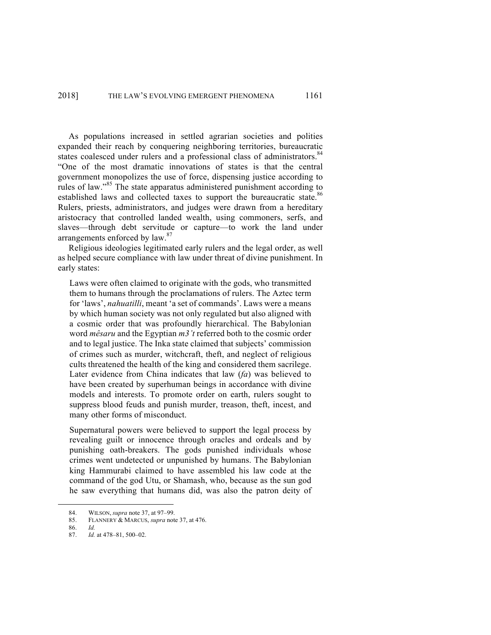As populations increased in settled agrarian societies and polities expanded their reach by conquering neighboring territories, bureaucratic states coalesced under rulers and a professional class of administrators.<sup>84</sup> "One of the most dramatic innovations of states is that the central government monopolizes the use of force, dispensing justice according to rules of law."<sup>85</sup> The state apparatus administered punishment according to established laws and collected taxes to support the bureaucratic state.<sup>86</sup> Rulers, priests, administrators, and judges were drawn from a hereditary aristocracy that controlled landed wealth, using commoners, serfs, and slaves—through debt servitude or capture—to work the land under arrangements enforced by law.<sup>87</sup>

Religious ideologies legitimated early rulers and the legal order, as well as helped secure compliance with law under threat of divine punishment. In early states:

Laws were often claimed to originate with the gods, who transmitted them to humans through the proclamations of rulers. The Aztec term for 'laws', *nahuatilli*, meant 'a set of commands'. Laws were a means by which human society was not only regulated but also aligned with a cosmic order that was profoundly hierarchical. The Babylonian word *mêsaru* and the Egyptian *m3't* referred both to the cosmic order and to legal justice. The Inka state claimed that subjects' commission of crimes such as murder, witchcraft, theft, and neglect of religious cults threatened the health of the king and considered them sacrilege. Later evidence from China indicates that law (*fa*) was believed to have been created by superhuman beings in accordance with divine models and interests. To promote order on earth, rulers sought to suppress blood feuds and punish murder, treason, theft, incest, and many other forms of misconduct.

Supernatural powers were believed to support the legal process by revealing guilt or innocence through oracles and ordeals and by punishing oath-breakers. The gods punished individuals whose crimes went undetected or unpunished by humans. The Babylonian king Hammurabi claimed to have assembled his law code at the command of the god Utu, or Shamash, who, because as the sun god he saw everything that humans did, was also the patron deity of

 <sup>84.</sup> WILSON, *supra* note 37, at 97–99.

<sup>85.</sup> FLANNERY & MARCUS, *supra* note 37, at 476.

<sup>86.</sup> *Id.*

<sup>87.</sup> *Id.* at 478–81, 500–02.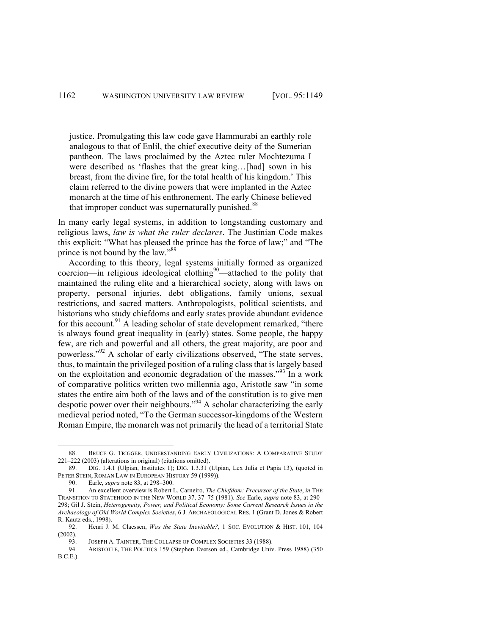justice. Promulgating this law code gave Hammurabi an earthly role analogous to that of Enlil, the chief executive deity of the Sumerian pantheon. The laws proclaimed by the Aztec ruler Mochtezuma I were described as 'flashes that the great king...[had] sown in his breast, from the divine fire, for the total health of his kingdom.' This claim referred to the divine powers that were implanted in the Aztec monarch at the time of his enthronement. The early Chinese believed that improper conduct was supernaturally punished. $88$ 

In many early legal systems, in addition to longstanding customary and religious laws, *law is what the ruler declares*. The Justinian Code makes this explicit: "What has pleased the prince has the force of law;" and "The prince is not bound by the law."<sup>89</sup>

According to this theory, legal systems initially formed as organized coercion—in religious ideological clothing $90$ —attached to the polity that maintained the ruling elite and a hierarchical society, along with laws on property, personal injuries, debt obligations, family unions, sexual restrictions, and sacred matters. Anthropologists, political scientists, and historians who study chiefdoms and early states provide abundant evidence for this account.<sup>91</sup> A leading scholar of state development remarked, "there is always found great inequality in (early) states. Some people, the happy few, are rich and powerful and all others, the great majority, are poor and powerless."<sup>92</sup> A scholar of early civilizations observed, "The state serves, thus, to maintain the privileged position of a ruling class that is largely based on the exploitation and economic degradation of the masses."<sup>93</sup> In a work of comparative politics written two millennia ago, Aristotle saw "in some states the entire aim both of the laws and of the constitution is to give men despotic power over their neighbours."94 A scholar characterizing the early medieval period noted, "To the German successor-kingdoms of the Western Roman Empire, the monarch was not primarily the head of a territorial State

 <sup>88.</sup> BRUCE G. TRIGGER, UNDERSTANDING EARLY CIVILIZATIONS: <sup>A</sup> COMPARATIVE STUDY 221–222 (2003) (alterations in original) (citations omitted).

<sup>89.</sup> DIG. 1.4.1 (Ulpian, Institutes 1); DIG. 1.3.31 (Ulpian, Lex Julia et Papia 13), (quoted in PETER STEIN, ROMAN LAW IN EUROPEAN HISTORY 59 (1999)).

<sup>90.</sup> Earle, *supra* note 83, at 298–300.

<sup>91.</sup> An excellent overview is Robert L. Carneiro, *The Chiefdom: Precursor of the State*, *in* THE TRANSITION TO STATEHOOD IN THE NEW WORLD 37, 37–75 (1981). *See* Earle, *supra* note 83, at 290– 298; Gil J. Stein, *Heterogeneity, Power, and Political Economy: Some Current Research Issues in the Archaeology of Old World Complex Societies*, 6 J. ARCHAEOLOGICAL RES. 1 (Grant D. Jones & Robert R. Kautz eds., 1998).

<sup>92.</sup> Henri J. M. Claessen, *Was the State Inevitable?*, 1 SOC. EVOLUTION & HIST. 101, 104 (2002).

<sup>93.</sup> JOSEPH A. TAINTER, THE COLLAPSE OF COMPLEX SOCIETIES 33 (1988).

<sup>94.</sup> ARISTOTLE, THE POLITICS 159 (Stephen Everson ed., Cambridge Univ. Press 1988) (350 B.C.E.).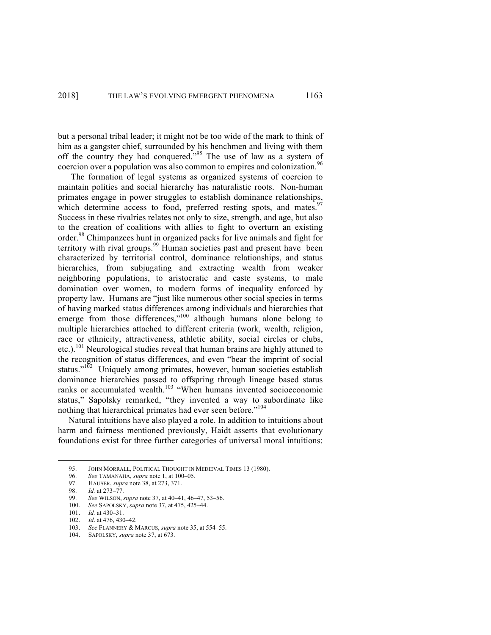but a personal tribal leader; it might not be too wide of the mark to think of him as a gangster chief, surrounded by his henchmen and living with them off the country they had conquered."<sup>95</sup> The use of law as a system of coercion over a population was also common to empires and colonization.<sup>96</sup>

The formation of legal systems as organized systems of coercion to maintain polities and social hierarchy has naturalistic roots. Non-human primates engage in power struggles to establish dominance relationships, which determine access to food, preferred resting spots, and mates.<sup>97</sup> Success in these rivalries relates not only to size, strength, and age, but also to the creation of coalitions with allies to fight to overturn an existing order.<sup>98</sup> Chimpanzees hunt in organized packs for live animals and fight for territory with rival groups.<sup>99</sup> Human societies past and present have been characterized by territorial control, dominance relationships, and status hierarchies, from subjugating and extracting wealth from weaker neighboring populations, to aristocratic and caste systems, to male domination over women, to modern forms of inequality enforced by property law. Humans are "just like numerous other social species in terms of having marked status differences among individuals and hierarchies that emerge from those differences,"<sup>100</sup> although humans alone belong to multiple hierarchies attached to different criteria (work, wealth, religion, race or ethnicity, attractiveness, athletic ability, social circles or clubs, etc.).<sup>101</sup> Neurological studies reveal that human brains are highly attuned to the recognition of status differences, and even "bear the imprint of social status." $102$  Uniquely among primates, however, human societies establish dominance hierarchies passed to offspring through lineage based status ranks or accumulated wealth.<sup>103</sup> "When humans invented socioeconomic status," Sapolsky remarked, "they invented a way to subordinate like nothing that hierarchical primates had ever seen before."104

Natural intuitions have also played a role. In addition to intuitions about harm and fairness mentioned previously, Haidt asserts that evolutionary foundations exist for three further categories of universal moral intuitions:

<sup>95.</sup> JOHN MORRALL, POLITICAL THOUGHT IN MEDIEVAL TIMES 13 (1980).<br>96. See TAMANAHA, *supra* note 1, at 100–05.

<sup>96.</sup> *See* TAMANAHA, *supra* note 1, at 100–05.

<sup>97.</sup> HAUSER, *supra* note 38, at 273, 371.

<sup>98.</sup> *Id.* at 273–77.

<sup>99.</sup> *See* WILSON, *supra* note 37, at 40–41, 46–47, 53–56.

<sup>100.</sup> *See* SAPOLSKY, *supra* note 37, at 475, 425–44.

<sup>101.</sup> *Id.* at 430–31.

<sup>102.</sup> *Id*. at 476, 430–42.

<sup>103.</sup> *See* FLANNERY & MARCUS, *supra* note 35, at 554–55.

<sup>104.</sup> SAPOLSKY, *supra* note 37, at 673.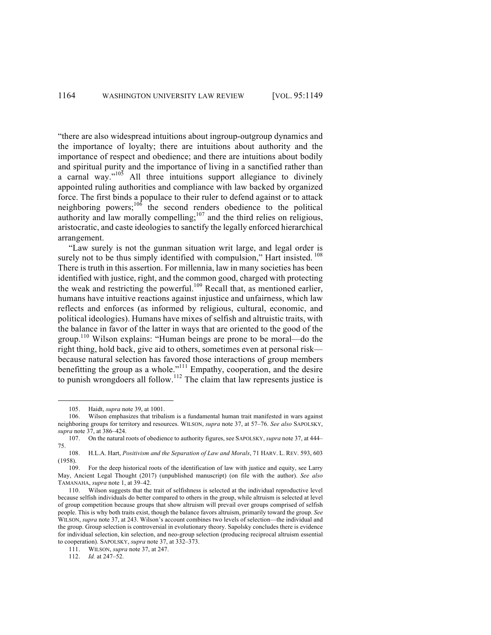"there are also widespread intuitions about ingroup-outgroup dynamics and the importance of loyalty; there are intuitions about authority and the importance of respect and obedience; and there are intuitions about bodily and spiritual purity and the importance of living in a sanctified rather than a carnal way." $105$  All three intuitions support allegiance to divinely appointed ruling authorities and compliance with law backed by organized force. The first binds a populace to their ruler to defend against or to attack neighboring powers;  $106$  the second renders obedience to the political authority and law morally compelling; $107$  and the third relies on religious, aristocratic, and caste ideologies to sanctify the legally enforced hierarchical arrangement.

"Law surely is not the gunman situation writ large, and legal order is surely not to be thus simply identified with compulsion," Hart insisted. <sup>108</sup> There is truth in this assertion. For millennia, law in many societies has been identified with justice, right, and the common good, charged with protecting the weak and restricting the powerful.<sup>109</sup> Recall that, as mentioned earlier, humans have intuitive reactions against injustice and unfairness, which law reflects and enforces (as informed by religious, cultural, economic, and political ideologies). Humans have mixes of selfish and altruistic traits, with the balance in favor of the latter in ways that are oriented to the good of the group.110 Wilson explains: "Human beings are prone to be moral—do the right thing, hold back, give aid to others, sometimes even at personal risk because natural selection has favored those interactions of group members benefitting the group as a whole."<sup>111</sup> Empathy, cooperation, and the desire to punish wrongdoers all follow. <sup>112</sup> The claim that law represents justice is

 <sup>105.</sup> Haidt, *supra* note 39, at 1001.

<sup>106.</sup> Wilson emphasizes that tribalism is a fundamental human trait manifested in wars against neighboring groups for territory and resources. WILSON, *supra* note 37, at 57–76. *See also* SAPOLSKY, *supra* note 37, at 386–424.

<sup>107.</sup> On the natural roots of obedience to authority figures, see SAPOLSKY, *supra* note 37, at 444– 75.

<sup>108.</sup> H.L.A. Hart, *Positivism and the Separation of Law and Morals*, 71 HARV. L. REV. 593, 603 (1958).

<sup>109.</sup> For the deep historical roots of the identification of law with justice and equity, see Larry May, Ancient Legal Thought (2017) (unpublished manuscript) (on file with the author). *See also* TAMANAHA, *supra* note 1, at 39–42.

<sup>110.</sup> Wilson suggests that the trait of selfishness is selected at the individual reproductive level because selfish individuals do better compared to others in the group, while altruism is selected at level of group competition because groups that show altruism will prevail over groups comprised of selfish people. This is why both traits exist, though the balance favors altruism, primarily toward the group. *See* WILSON, *supra* note 37, at 243. Wilson's account combines two levels of selection—the individual and the group. Group selection is controversial in evolutionary theory. Sapolsky concludes there is evidence for individual selection, kin selection, and neo-group selection (producing reciprocal altruism essential to cooperation). SAPOLSKY, *supra* note 37, at 332–373.

<sup>111.</sup> WILSON, *supra* note 37, at 247.

<sup>112.</sup> *Id.* at 247–52.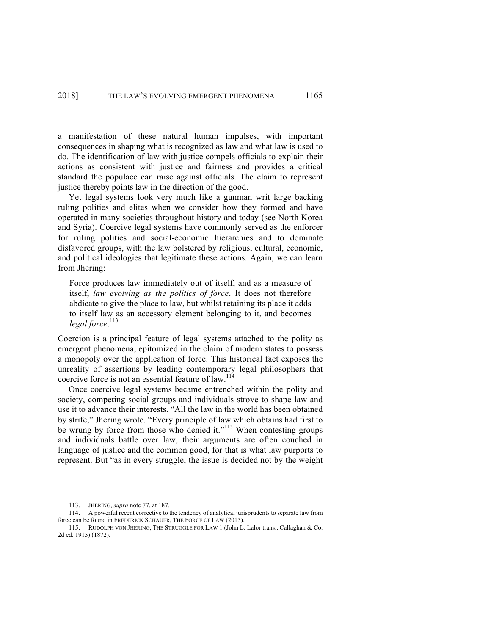a manifestation of these natural human impulses, with important consequences in shaping what is recognized as law and what law is used to do. The identification of law with justice compels officials to explain their actions as consistent with justice and fairness and provides a critical standard the populace can raise against officials. The claim to represent justice thereby points law in the direction of the good.

Yet legal systems look very much like a gunman writ large backing ruling polities and elites when we consider how they formed and have operated in many societies throughout history and today (see North Korea and Syria). Coercive legal systems have commonly served as the enforcer for ruling polities and social-economic hierarchies and to dominate disfavored groups, with the law bolstered by religious, cultural, economic, and political ideologies that legitimate these actions. Again, we can learn from Jhering:

Force produces law immediately out of itself, and as a measure of itself, *law evolving as the politics of force*. It does not therefore abdicate to give the place to law, but whilst retaining its place it adds to itself law as an accessory element belonging to it, and becomes *legal force*. 113

Coercion is a principal feature of legal systems attached to the polity as emergent phenomena, epitomized in the claim of modern states to possess a monopoly over the application of force. This historical fact exposes the unreality of assertions by leading contemporary legal philosophers that coercive force is not an essential feature of law.<sup>114</sup>

Once coercive legal systems became entrenched within the polity and society, competing social groups and individuals strove to shape law and use it to advance their interests. "All the law in the world has been obtained by strife," Jhering wrote. "Every principle of law which obtains had first to be wrung by force from those who denied it."<sup>115</sup> When contesting groups and individuals battle over law, their arguments are often couched in language of justice and the common good, for that is what law purports to represent. But "as in every struggle, the issue is decided not by the weight

 <sup>113.</sup> JHERING, *supra* note 77, at 187.

<sup>114.</sup> A powerful recent corrective to the tendency of analytical jurisprudents to separate law from force can be found in FREDERICK SCHAUER, THE FORCE OF LAW (2015).

<sup>115.</sup> RUDOLPH VON JHERING, THE STRUGGLE FOR LAW 1 (John L. Lalor trans., Callaghan & Co. 2d ed. 1915) (1872).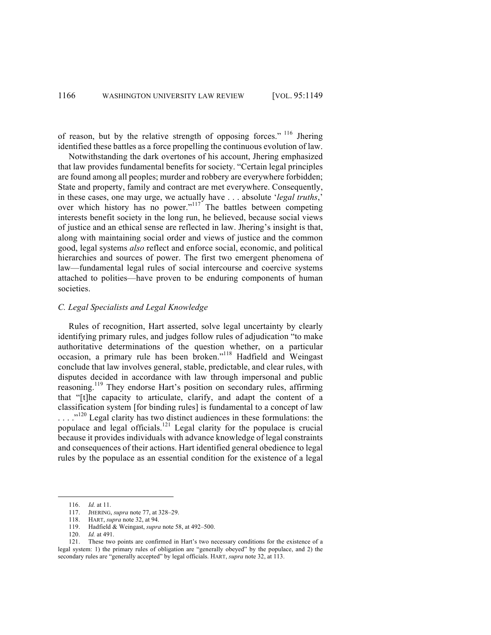of reason, but by the relative strength of opposing forces." <sup>116</sup> Jhering identified these battles as a force propelling the continuous evolution of law.

Notwithstanding the dark overtones of his account, Jhering emphasized that law provides fundamental benefits for society. "Certain legal principles are found among all peoples; murder and robbery are everywhere forbidden; State and property, family and contract are met everywhere. Consequently, in these cases, one may urge, we actually have . . . absolute '*legal truths*,' over which history has no power."<sup>117</sup> The battles between competing interests benefit society in the long run, he believed, because social views of justice and an ethical sense are reflected in law. Jhering's insight is that, along with maintaining social order and views of justice and the common good, legal systems *also* reflect and enforce social, economic, and political hierarchies and sources of power. The first two emergent phenomena of law—fundamental legal rules of social intercourse and coercive systems attached to polities—have proven to be enduring components of human societies.

## *C. Legal Specialists and Legal Knowledge*

Rules of recognition, Hart asserted, solve legal uncertainty by clearly identifying primary rules, and judges follow rules of adjudication "to make authoritative determinations of the question whether, on a particular occasion, a primary rule has been broken."<sup>118</sup> Hadfield and Weingast conclude that law involves general, stable, predictable, and clear rules, with disputes decided in accordance with law through impersonal and public reasoning.<sup>119</sup> They endorse Hart's position on secondary rules, affirming that "[t]he capacity to articulate, clarify, and adapt the content of a classification system [for binding rules] is fundamental to a concept of law ...."<sup>120</sup> Legal clarity has two distinct audiences in these formulations: the populace and legal officials.<sup>121</sup> Legal clarity for the populace is crucial because it provides individuals with advance knowledge of legal constraints and consequences of their actions. Hart identified general obedience to legal rules by the populace as an essential condition for the existence of a legal

 <sup>116.</sup> *Id.* at 11.

<sup>117.</sup> JHERING, *supra* note 77, at 328–29.

<sup>118.</sup> HART, *supra* note 32, at 94.

<sup>119.</sup> Hadfield & Weingast, *supra* note 58, at 492–500.

<sup>120.</sup> *Id.* at 491.

<sup>121.</sup> These two points are confirmed in Hart's two necessary conditions for the existence of a legal system: 1) the primary rules of obligation are "generally obeyed" by the populace, and 2) the secondary rules are "generally accepted" by legal officials. HART, *supra* note 32, at 113.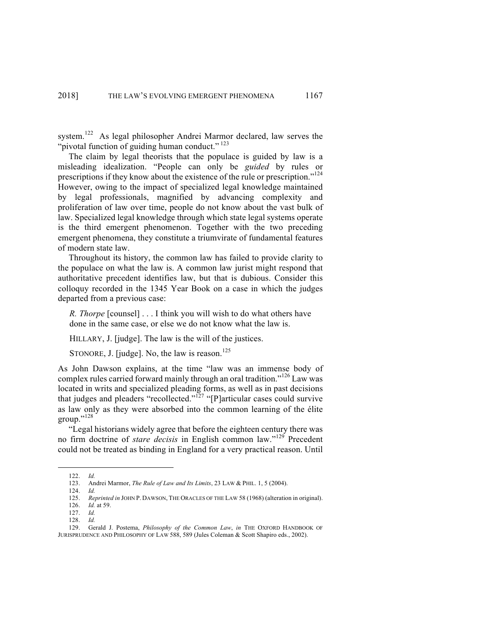system.<sup>122</sup> As legal philosopher Andrei Marmor declared, law serves the "pivotal function of guiding human conduct."<sup>123</sup>

The claim by legal theorists that the populace is guided by law is a misleading idealization. "People can only be *guided* by rules or prescriptions if they know about the existence of the rule or prescription."<sup>124</sup> However, owing to the impact of specialized legal knowledge maintained by legal professionals, magnified by advancing complexity and proliferation of law over time, people do not know about the vast bulk of law. Specialized legal knowledge through which state legal systems operate is the third emergent phenomenon. Together with the two preceding emergent phenomena, they constitute a triumvirate of fundamental features of modern state law.

Throughout its history, the common law has failed to provide clarity to the populace on what the law is. A common law jurist might respond that authoritative precedent identifies law, but that is dubious. Consider this colloquy recorded in the 1345 Year Book on a case in which the judges departed from a previous case:

*R. Thorpe* [counsel] . . . I think you will wish to do what others have done in the same case, or else we do not know what the law is.

HILLARY, J. [judge]. The law is the will of the justices.

STONORE, J. [judge]. No, the law is reason.<sup>125</sup>

As John Dawson explains, at the time "law was an immense body of complex rules carried forward mainly through an oral tradition."<sup>126</sup> Law was located in writs and specialized pleading forms, as well as in past decisions that judges and pleaders "recollected."<sup>127</sup> "[P]articular cases could survive as law only as they were absorbed into the common learning of the élite group."<sup>128</sup>

"Legal historians widely agree that before the eighteen century there was no firm doctrine of *stare decisis* in English common law."<sup>129</sup> Precedent could not be treated as binding in England for a very practical reason. Until

 <sup>122.</sup> *Id.*

<sup>123.</sup> Andrei Marmor, *The Rule of Law and Its Limits*, 23 LAW & PHIL. 1, 5 (2004).

<sup>124.</sup> *Id.*

<sup>125.</sup> *Reprinted in* JOHN P. DAWSON, THE ORACLES OF THE LAW 58 (1968) (alteration in original).

<sup>126.</sup> *Id.* at 59.

<sup>127.</sup> *Id.*

<sup>128.</sup> *Id.*

<sup>129.</sup> Gerald J. Postema, *Philosophy of the Common Law*, *in* THE OXFORD HANDBOOK OF JURISPRUDENCE AND PHILOSOPHY OF LAW 588, 589 (Jules Coleman & Scott Shapiro eds., 2002).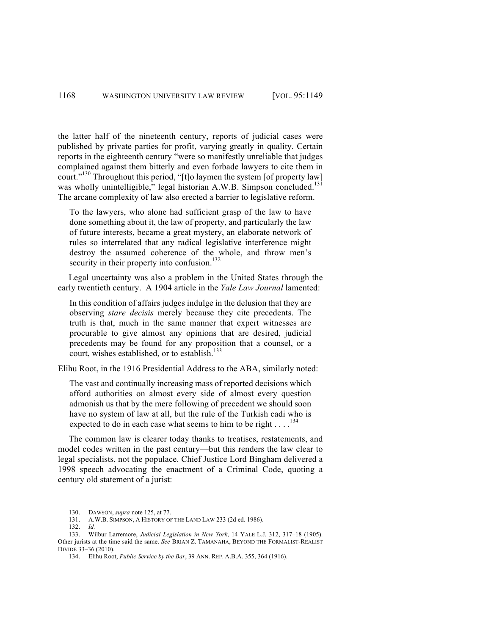the latter half of the nineteenth century, reports of judicial cases were published by private parties for profit, varying greatly in quality. Certain reports in the eighteenth century "were so manifestly unreliable that judges complained against them bitterly and even forbade lawyers to cite them in court."<sup>130</sup> Throughout this period, "[t]o laymen the system [of property law] was wholly unintelligible," legal historian A.W.B. Simpson concluded.<sup>131</sup> The arcane complexity of law also erected a barrier to legislative reform.

To the lawyers, who alone had sufficient grasp of the law to have done something about it, the law of property, and particularly the law of future interests, became a great mystery, an elaborate network of rules so interrelated that any radical legislative interference might destroy the assumed coherence of the whole, and throw men's security in their property into confusion.<sup>132</sup>

Legal uncertainty was also a problem in the United States through the early twentieth century. A 1904 article in the *Yale Law Journal* lamented:

In this condition of affairs judges indulge in the delusion that they are observing *stare decisis* merely because they cite precedents. The truth is that, much in the same manner that expert witnesses are procurable to give almost any opinions that are desired, judicial precedents may be found for any proposition that a counsel, or a court, wishes established, or to establish.<sup>133</sup>

Elihu Root, in the 1916 Presidential Address to the ABA, similarly noted:

The vast and continually increasing mass of reported decisions which afford authorities on almost every side of almost every question admonish us that by the mere following of precedent we should soon have no system of law at all, but the rule of the Turkish cadi who is expected to do in each case what seems to him to be right  $\dots$ .<sup>134</sup>

The common law is clearer today thanks to treatises, restatements, and model codes written in the past century—but this renders the law clear to legal specialists, not the populace. Chief Justice Lord Bingham delivered a 1998 speech advocating the enactment of a Criminal Code, quoting a century old statement of a jurist:

132. *Id.*

 <sup>130.</sup> DAWSON, *supra* note 125, at 77.

<sup>131.</sup> A.W.B. SIMPSON, A HISTORY OF THE LAND LAW 233 (2d ed. 1986).

<sup>133.</sup> Wilbur Larremore, *Judicial Legislation in New York*, 14 YALE L.J. 312, 317–18 (1905). Other jurists at the time said the same. *See* BRIAN Z. TAMANAHA, BEYOND THE FORMALIST-REALIST DIVIDE 33–36 (2010).

<sup>134.</sup> Elihu Root, *Public Service by the Bar*, 39 ANN. REP. A.B.A. 355, 364 (1916).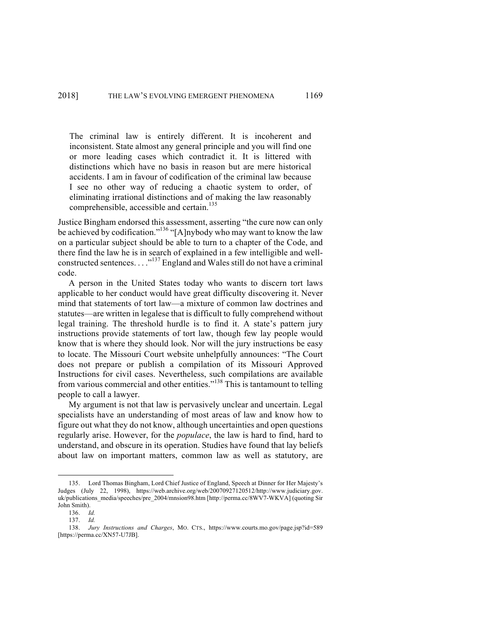The criminal law is entirely different. It is incoherent and inconsistent. State almost any general principle and you will find one or more leading cases which contradict it. It is littered with distinctions which have no basis in reason but are mere historical accidents. I am in favour of codification of the criminal law because I see no other way of reducing a chaotic system to order, of eliminating irrational distinctions and of making the law reasonably comprehensible, accessible and certain.<sup>135</sup>

Justice Bingham endorsed this assessment, asserting "the cure now can only be achieved by codification."<sup>136</sup> "[A]nybody who may want to know the law on a particular subject should be able to turn to a chapter of the Code, and there find the law he is in search of explained in a few intelligible and wellconstructed sentences...."<sup>137</sup> England and Wales still do not have a criminal code.

A person in the United States today who wants to discern tort laws applicable to her conduct would have great difficulty discovering it. Never mind that statements of tort law—a mixture of common law doctrines and statutes—are written in legalese that is difficult to fully comprehend without legal training. The threshold hurdle is to find it. A state's pattern jury instructions provide statements of tort law, though few lay people would know that is where they should look. Nor will the jury instructions be easy to locate. The Missouri Court website unhelpfully announces: "The Court does not prepare or publish a compilation of its Missouri Approved Instructions for civil cases. Nevertheless, such compilations are available from various commercial and other entities."<sup>138</sup> This is tantamount to telling people to call a lawyer.

My argument is not that law is pervasively unclear and uncertain. Legal specialists have an understanding of most areas of law and know how to figure out what they do not know, although uncertainties and open questions regularly arise. However, for the *populace*, the law is hard to find, hard to understand, and obscure in its operation. Studies have found that lay beliefs about law on important matters, common law as well as statutory, are

 <sup>135.</sup> Lord Thomas Bingham, Lord Chief Justice of England, Speech at Dinner for Her Majesty's Judges (July 22, 1998), https://web.archive.org/web/20070927120512/http://www.judiciary.gov. uk/publications\_media/speeches/pre\_2004/mnsion98.htm [http://perma.cc/8WV7-WKVA] (quoting Sir John Smith).

<sup>136.</sup> *Id.*

<sup>137.</sup> *Id.*

<sup>138.</sup> *Jury Instructions and Charges*, MO. CTS., https://www.courts.mo.gov/page.jsp?id=589 [https://perma.cc/XN57-U7JB].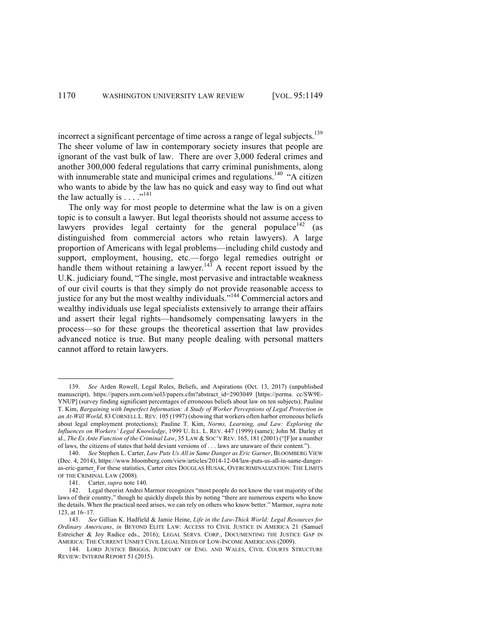incorrect a significant percentage of time across a range of legal subjects.<sup>139</sup> The sheer volume of law in contemporary society insures that people are ignorant of the vast bulk of law. There are over 3,000 federal crimes and another 300,000 federal regulations that carry criminal punishments, along with innumerable state and municipal crimes and regulations.<sup>140</sup> "A citizen who wants to abide by the law has no quick and easy way to find out what the law actually is  $\ldots$  ...<sup>141</sup>

The only way for most people to determine what the law is on a given topic is to consult a lawyer. But legal theorists should not assume access to lawyers provides legal certainty for the general populace  $142$  (as distinguished from commercial actors who retain lawyers). A large proportion of Americans with legal problems—including child custody and support, employment, housing, etc.—forgo legal remedies outright or handle them without retaining a lawyer.<sup>143</sup> A recent report issued by the U.K. judiciary found, "The single, most pervasive and intractable weakness of our civil courts is that they simply do not provide reasonable access to justice for any but the most wealthy individuals."<sup>144</sup> Commercial actors and wealthy individuals use legal specialists extensively to arrange their affairs and assert their legal rights—handsomely compensating lawyers in the process—so for these groups the theoretical assertion that law provides advanced notice is true. But many people dealing with personal matters cannot afford to retain lawyers.

 <sup>139.</sup> *See* Arden Rowell, Legal Rules, Beliefs, and Aspirations (Oct. 13, 2017) (unpublished manuscript), https://papers.ssrn.com/sol3/papers.cfm?abstract\_id=2903049 [https://perma. cc/SW9E-YNUP] (survey finding significant percentages of erroneous beliefs about law on ten subjects); Pauline T. Kim, *Bargaining with Imperfect Information: A Study of Worker Perceptions of Legal Protection in an At-Will World*, 83 CORNELL L. REV. 105 (1997) (showing that workers often harbor erroneous beliefs about legal employment protections); Pauline T. Kim, *Norms, Learning, and Law: Exploring the Influences on Workers' Legal Knowledge*, 1999 U. ILL. L. REV. 447 (1999) (same); John M. Darley et al., *The Ex Ante Function of the Criminal Law*, 35 LAW & SOC'Y REV. 165, 181 (2001) ("[F]or a number of laws, the citizens of states that hold deviant versions of . . . laws are unaware of their content.").

<sup>140.</sup> *See* Stephen L. Carter, *Law Puts Us All in Same Danger as Eric Garner*, BLOOMBERG VIEW (Dec. 4, 2014), https://www.bloomberg.com/view/articles/2014-12-04/law-puts-us-all-in-same-dangeras-eric-garner. For these statistics, Carter cites DOUGLAS HUSAK, OVERCRIMINALIZATION: THE LIMITS OF THE CRIMINAL LAW (2008).

<sup>141.</sup> Carter, *supra* note 140.

<sup>142.</sup> Legal theorist Andrei Marmor recognizes "most people do not know the vast majority of the laws of their country," though he quickly dispels this by noting "there are numerous experts who know the details. When the practical need arises, we can rely on others who know better." Marmor, *supra* note 123, at 16–17.

<sup>143.</sup> *See* Gillian K. Hadfield & Jamie Heine, *Life in the Law-Thick World: Legal Resources for Ordinary Americans*, *in* BEYOND ELITE LAW: ACCESS TO CIVIL JUSTICE IN AMERICA 21 (Samuel Estreicher & Joy Radice eds., 2016); LEGAL SERVS. CORP., DOCUMENTING THE JUSTICE GAP IN AMERICA: THE CURRENT UNMET CIVIL LEGAL NEEDS OF LOW-INCOME AMERICANS (2009).

<sup>144.</sup> LORD JUSTICE BRIGGS, JUDICIARY OF ENG. AND WALES, CIVIL COURTS STRUCTURE REVIEW: INTERIM REPORT 51 (2015).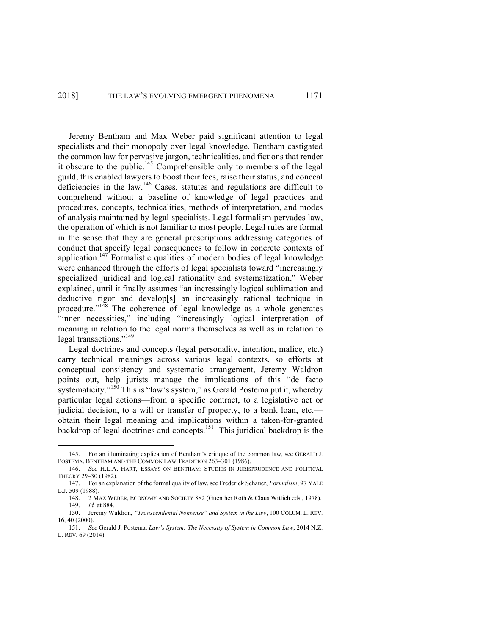Jeremy Bentham and Max Weber paid significant attention to legal specialists and their monopoly over legal knowledge. Bentham castigated the common law for pervasive jargon, technicalities, and fictions that render it obscure to the public.<sup>145</sup> Comprehensible only to members of the legal guild, this enabled lawyers to boost their fees, raise their status, and conceal deficiencies in the law.<sup>146</sup> Cases, statutes and regulations are difficult to comprehend without a baseline of knowledge of legal practices and procedures, concepts, technicalities, methods of interpretation, and modes of analysis maintained by legal specialists. Legal formalism pervades law, the operation of which is not familiar to most people. Legal rules are formal in the sense that they are general proscriptions addressing categories of conduct that specify legal consequences to follow in concrete contexts of application.<sup>147</sup> Formalistic qualities of modern bodies of legal knowledge were enhanced through the efforts of legal specialists toward "increasingly specialized juridical and logical rationality and systematization," Weber explained, until it finally assumes "an increasingly logical sublimation and deductive rigor and develop[s] an increasingly rational technique in procedure."<sup>148</sup> The coherence of legal knowledge as a whole generates "inner necessities," including "increasingly logical interpretation of meaning in relation to the legal norms themselves as well as in relation to legal transactions."<sup>149</sup>

Legal doctrines and concepts (legal personality, intention, malice, etc.) carry technical meanings across various legal contexts, so efforts at conceptual consistency and systematic arrangement, Jeremy Waldron points out, help jurists manage the implications of this "de facto systematicity."<sup>150</sup> This is "law's system," as Gerald Postema put it, whereby particular legal actions—from a specific contract, to a legislative act or judicial decision, to a will or transfer of property, to a bank loan, etc. obtain their legal meaning and implications within a taken-for-granted backdrop of legal doctrines and concepts.<sup>151</sup> This juridical backdrop is the

 <sup>145.</sup> For an illuminating explication of Bentham's critique of the common law, see GERALD J. POSTEMA, BENTHAM AND THE COMMON LAW TRADITION 263–301 (1986).

<sup>146.</sup> *See* H.L.A. HART, ESSAYS ON BENTHAM: STUDIES IN JURISPRUDENCE AND POLITICAL THEORY 29–30 (1982).

<sup>147.</sup> For an explanation of the formal quality of law, see Frederick Schauer, *Formalism*, 97 YALE L.J. 509 (1988).

<sup>148.</sup> 2 MAX WEBER, ECONOMY AND SOCIETY 882 (Guenther Roth & Claus Wittich eds., 1978). 149. *Id.* at 884.

<sup>150.</sup> Jeremy Waldron, *"Transcendental Nonsense" and System in the Law*, 100 COLUM. L. REV. 16, 40 (2000).

<sup>151.</sup> *See* Gerald J. Postema, *Law's System: The Necessity of System in Common Law*, 2014 N.Z. L. REV. 69 (2014).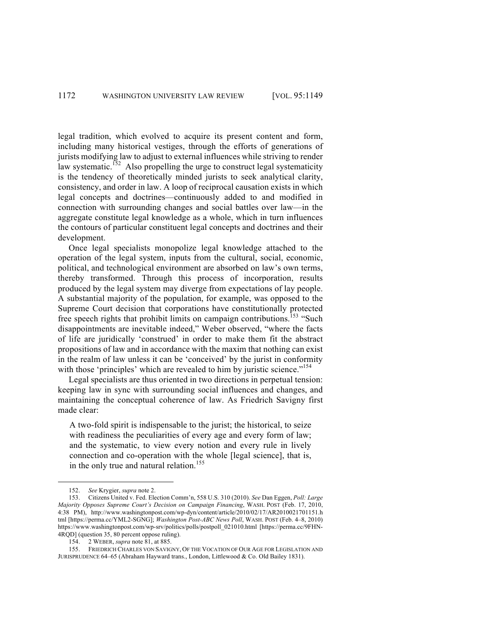legal tradition, which evolved to acquire its present content and form, including many historical vestiges, through the efforts of generations of jurists modifying law to adjust to external influences while striving to render law systematic.<sup>152</sup> Also propelling the urge to construct legal systematicity is the tendency of theoretically minded jurists to seek analytical clarity, consistency, and order in law. A loop of reciprocal causation exists in which legal concepts and doctrines—continuously added to and modified in connection with surrounding changes and social battles over law—in the aggregate constitute legal knowledge as a whole, which in turn influences the contours of particular constituent legal concepts and doctrines and their development.

Once legal specialists monopolize legal knowledge attached to the operation of the legal system, inputs from the cultural, social, economic, political, and technological environment are absorbed on law's own terms, thereby transformed. Through this process of incorporation, results produced by the legal system may diverge from expectations of lay people. A substantial majority of the population, for example, was opposed to the Supreme Court decision that corporations have constitutionally protected free speech rights that prohibit limits on campaign contributions.<sup>153</sup> "Such disappointments are inevitable indeed," Weber observed, "where the facts of life are juridically 'construed' in order to make them fit the abstract propositions of law and in accordance with the maxim that nothing can exist in the realm of law unless it can be 'conceived' by the jurist in conformity with those 'principles' which are revealed to him by juristic science."<sup>154</sup>

Legal specialists are thus oriented in two directions in perpetual tension: keeping law in sync with surrounding social influences and changes, and maintaining the conceptual coherence of law. As Friedrich Savigny first made clear:

A two-fold spirit is indispensable to the jurist; the historical, to seize with readiness the peculiarities of every age and every form of law; and the systematic, to view every notion and every rule in lively connection and co-operation with the whole [legal science], that is, in the only true and natural relation.<sup>155</sup>

 <sup>152.</sup> *See* Krygier, *supra* note 2.

<sup>153.</sup> Citizens United v. Fed. Election Comm'n, 558 U.S. 310 (2010). *See* Dan Eggen, *Poll: Large Majority Opposes Supreme Court's Decision on Campaign Financing*, WASH. POST (Feb. 17, 2010, 4:38 PM), http://www.washingtonpost.com/wp-dyn/content/article/2010/02/17/AR2010021701151.h tml [https://perma.cc/YML2-SGNG]; *Washington Post-ABC News Poll*, WASH. POST (Feb. 4–8, 2010) https://www.washingtonpost.com/wp-srv/politics/polls/postpoll\_021010.html [https://perma.cc/9FHN-4RQD] (question 35, 80 percent oppose ruling).

<sup>154.</sup> 2 WEBER, *supra* note 81, at 885.

<sup>155.</sup> FRIEDRICH CHARLES VON SAVIGNY, OF THE VOCATION OF OUR AGE FOR LEGISLATION AND JURISPRUDENCE 64–65 (Abraham Hayward trans., London, Littlewood & Co. Old Bailey 1831).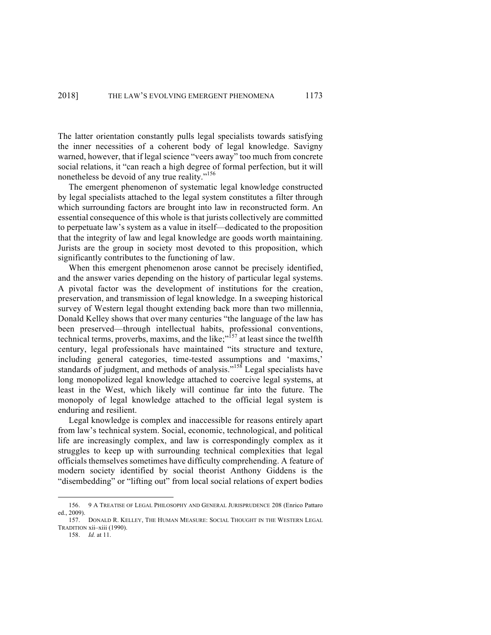The latter orientation constantly pulls legal specialists towards satisfying the inner necessities of a coherent body of legal knowledge. Savigny warned, however, that if legal science "veers away" too much from concrete social relations, it "can reach a high degree of formal perfection, but it will nonetheless be devoid of any true reality."<sup>156</sup>

The emergent phenomenon of systematic legal knowledge constructed by legal specialists attached to the legal system constitutes a filter through which surrounding factors are brought into law in reconstructed form. An essential consequence of this whole is that jurists collectively are committed to perpetuate law's system as a value in itself—dedicated to the proposition that the integrity of law and legal knowledge are goods worth maintaining. Jurists are the group in society most devoted to this proposition, which significantly contributes to the functioning of law.

When this emergent phenomenon arose cannot be precisely identified, and the answer varies depending on the history of particular legal systems. A pivotal factor was the development of institutions for the creation, preservation, and transmission of legal knowledge. In a sweeping historical survey of Western legal thought extending back more than two millennia, Donald Kelley shows that over many centuries "the language of the law has been preserved—through intellectual habits, professional conventions, technical terms, proverbs, maxims, and the like; $\mathbb{R}^{57}$  at least since the twelfth century, legal professionals have maintained "its structure and texture, including general categories, time-tested assumptions and 'maxims,' standards of judgment, and methods of analysis."<sup>158</sup> Legal specialists have long monopolized legal knowledge attached to coercive legal systems, at least in the West, which likely will continue far into the future. The monopoly of legal knowledge attached to the official legal system is enduring and resilient.

Legal knowledge is complex and inaccessible for reasons entirely apart from law's technical system. Social, economic, technological, and political life are increasingly complex, and law is correspondingly complex as it struggles to keep up with surrounding technical complexities that legal officials themselves sometimes have difficulty comprehending. A feature of modern society identified by social theorist Anthony Giddens is the "disembedding" or "lifting out" from local social relations of expert bodies

 <sup>156.</sup> 9 A TREATISE OF LEGAL PHILOSOPHY AND GENERAL JURISPRUDENCE 208 (Enrico Pattaro ed., 2009).

<sup>157.</sup> DONALD R. KELLEY, THE HUMAN MEASURE: SOCIAL THOUGHT IN THE WESTERN LEGAL TRADITION xii–xiii (1990).

<sup>158.</sup> *Id.* at 11.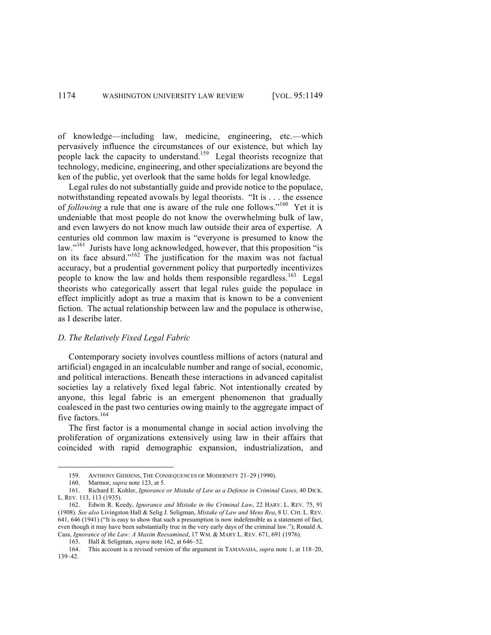of knowledge—including law, medicine, engineering, etc.—which pervasively influence the circumstances of our existence, but which lay people lack the capacity to understand.<sup>159</sup> Legal theorists recognize that technology, medicine, engineering, and other specializations are beyond the ken of the public, yet overlook that the same holds for legal knowledge.

Legal rules do not substantially guide and provide notice to the populace, notwithstanding repeated avowals by legal theorists. "It is . . . the essence of *following* a rule that one is aware of the rule one follows."<sup>160</sup> Yet it is undeniable that most people do not know the overwhelming bulk of law, and even lawyers do not know much law outside their area of expertise. A centuries old common law maxim is "everyone is presumed to know the law."<sup>161</sup> Jurists have long acknowledged, however, that this proposition "is on its face absurd."162 The justification for the maxim was not factual accuracy, but a prudential government policy that purportedly incentivizes people to know the law and holds them responsible regardless.<sup>163</sup> Legal theorists who categorically assert that legal rules guide the populace in effect implicitly adopt as true a maxim that is known to be a convenient fiction. The actual relationship between law and the populace is otherwise, as I describe later.

## *D. The Relatively Fixed Legal Fabric*

Contemporary society involves countless millions of actors (natural and artificial) engaged in an incalculable number and range of social, economic, and political interactions. Beneath these interactions in advanced capitalist societies lay a relatively fixed legal fabric. Not intentionally created by anyone, this legal fabric is an emergent phenomenon that gradually coalesced in the past two centuries owing mainly to the aggregate impact of five factors.<sup>164</sup>

The first factor is a monumental change in social action involving the proliferation of organizations extensively using law in their affairs that coincided with rapid demographic expansion, industrialization, and

 <sup>159.</sup> ANTHONY GIDDENS, THE CONSEQUENCES OF MODERNITY 21–29 (1990).

<sup>160.</sup> Marmor, *supra* note 123, at 5.

<sup>161.</sup> Richard E. Kohler, *Ignorance or Mistake of Law as a Defense in Criminal Cases*, 40 DICK. L. REV. 113, 113 (1935).

<sup>162.</sup> Edwin R. Keedy, *Ignorance and Mistake in the Criminal Law*, 22 HARV. L. REV. 75, 91 (1908). *See also* Livingston Hall & Selig J. Seligman, *Mistake of Law and Mens Rea*, 8 U. CHI. L. REV. 641, 646 (1941) ("It is easy to show that such a presumption is now indefensible as a statement of fact, even though it may have been substantially true in the very early days of the criminal law."); Ronald A. Cass, *Ignorance of the Law: A Maxim Reexamined*, 17 WM. & MARY L. REV. 671, 691 (1976).

<sup>163.</sup> Hall & Seligman, *supra* note 162, at 646–52.

<sup>164.</sup> This account is a revised version of the argument in TAMANAHA, *supra* note 1, at 118–20, 139–42.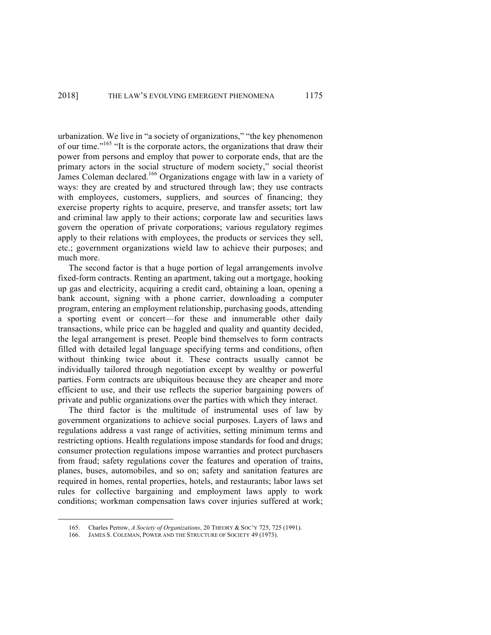urbanization. We live in "a society of organizations," "the key phenomenon of our time."165 "It is the corporate actors, the organizations that draw their power from persons and employ that power to corporate ends, that are the primary actors in the social structure of modern society," social theorist James Coleman declared.<sup>166</sup> Organizations engage with law in a variety of ways: they are created by and structured through law; they use contracts with employees, customers, suppliers, and sources of financing; they exercise property rights to acquire, preserve, and transfer assets; tort law and criminal law apply to their actions; corporate law and securities laws govern the operation of private corporations; various regulatory regimes apply to their relations with employees, the products or services they sell, etc.; government organizations wield law to achieve their purposes; and much more.

The second factor is that a huge portion of legal arrangements involve fixed-form contracts. Renting an apartment, taking out a mortgage, hooking up gas and electricity, acquiring a credit card, obtaining a loan, opening a bank account, signing with a phone carrier, downloading a computer program, entering an employment relationship, purchasing goods, attending a sporting event or concert—for these and innumerable other daily transactions, while price can be haggled and quality and quantity decided, the legal arrangement is preset. People bind themselves to form contracts filled with detailed legal language specifying terms and conditions, often without thinking twice about it. These contracts usually cannot be individually tailored through negotiation except by wealthy or powerful parties. Form contracts are ubiquitous because they are cheaper and more efficient to use, and their use reflects the superior bargaining powers of private and public organizations over the parties with which they interact.

The third factor is the multitude of instrumental uses of law by government organizations to achieve social purposes. Layers of laws and regulations address a vast range of activities, setting minimum terms and restricting options. Health regulations impose standards for food and drugs; consumer protection regulations impose warranties and protect purchasers from fraud; safety regulations cover the features and operation of trains, planes, buses, automobiles, and so on; safety and sanitation features are required in homes, rental properties, hotels, and restaurants; labor laws set rules for collective bargaining and employment laws apply to work conditions; workman compensation laws cover injuries suffered at work;

 <sup>165.</sup> Charles Perrow, *A Society of Organizations*, 20 THEORY & SOC'Y 725, 725 (1991).

<sup>166.</sup> JAMES S. COLEMAN, POWER AND THE STRUCTURE OF SOCIETY 49 (1973).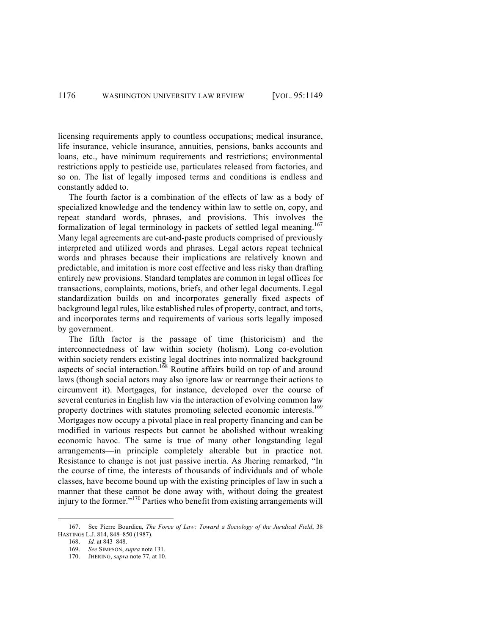licensing requirements apply to countless occupations; medical insurance, life insurance, vehicle insurance, annuities, pensions, banks accounts and loans, etc., have minimum requirements and restrictions; environmental restrictions apply to pesticide use, particulates released from factories, and so on. The list of legally imposed terms and conditions is endless and constantly added to.

The fourth factor is a combination of the effects of law as a body of specialized knowledge and the tendency within law to settle on, copy, and repeat standard words, phrases, and provisions. This involves the formalization of legal terminology in packets of settled legal meaning.<sup>167</sup> Many legal agreements are cut-and-paste products comprised of previously interpreted and utilized words and phrases. Legal actors repeat technical words and phrases because their implications are relatively known and predictable, and imitation is more cost effective and less risky than drafting entirely new provisions. Standard templates are common in legal offices for transactions, complaints, motions, briefs, and other legal documents. Legal standardization builds on and incorporates generally fixed aspects of background legal rules, like established rules of property, contract, and torts, and incorporates terms and requirements of various sorts legally imposed by government.

The fifth factor is the passage of time (historicism) and the interconnectedness of law within society (holism). Long co-evolution within society renders existing legal doctrines into normalized background aspects of social interaction.<sup>168</sup> Routine affairs build on top of and around laws (though social actors may also ignore law or rearrange their actions to circumvent it). Mortgages, for instance, developed over the course of several centuries in English law via the interaction of evolving common law property doctrines with statutes promoting selected economic interests.<sup>169</sup> Mortgages now occupy a pivotal place in real property financing and can be modified in various respects but cannot be abolished without wreaking economic havoc. The same is true of many other longstanding legal arrangements—in principle completely alterable but in practice not. Resistance to change is not just passive inertia. As Jhering remarked, "In the course of time, the interests of thousands of individuals and of whole classes, have become bound up with the existing principles of law in such a manner that these cannot be done away with, without doing the greatest injury to the former."<sup>170</sup> Parties who benefit from existing arrangements will

 <sup>167.</sup> See Pierre Bourdieu, *The Force of Law: Toward a Sociology of the Juridical Field*, 38 HASTINGS L.J. 814, 848–850 (1987).

<sup>168.</sup> *Id.* at 843–848.

<sup>169.</sup> *See* SIMPSON, *supra* note 131.

<sup>170.</sup> JHERING, *supra* note 77, at 10.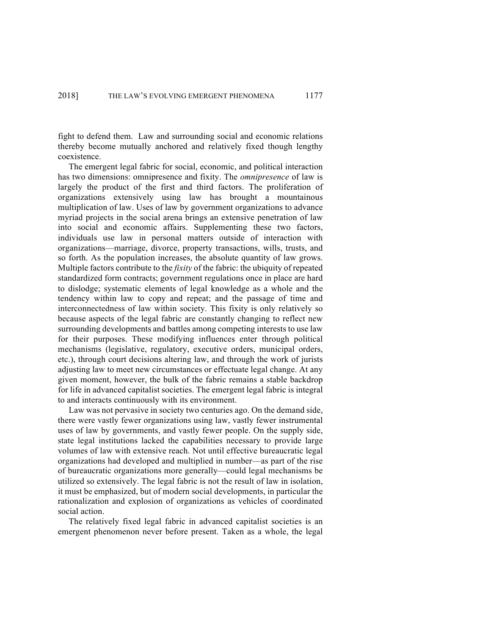fight to defend them. Law and surrounding social and economic relations thereby become mutually anchored and relatively fixed though lengthy coexistence.

The emergent legal fabric for social, economic, and political interaction has two dimensions: omnipresence and fixity. The *omnipresence* of law is largely the product of the first and third factors. The proliferation of organizations extensively using law has brought a mountainous multiplication of law. Uses of law by government organizations to advance myriad projects in the social arena brings an extensive penetration of law into social and economic affairs. Supplementing these two factors, individuals use law in personal matters outside of interaction with organizations—marriage, divorce, property transactions, wills, trusts, and so forth. As the population increases, the absolute quantity of law grows. Multiple factors contribute to the *fixity* of the fabric: the ubiquity of repeated standardized form contracts; government regulations once in place are hard to dislodge; systematic elements of legal knowledge as a whole and the tendency within law to copy and repeat; and the passage of time and interconnectedness of law within society. This fixity is only relatively so because aspects of the legal fabric are constantly changing to reflect new surrounding developments and battles among competing interests to use law for their purposes. These modifying influences enter through political mechanisms (legislative, regulatory, executive orders, municipal orders, etc.), through court decisions altering law, and through the work of jurists adjusting law to meet new circumstances or effectuate legal change. At any given moment, however, the bulk of the fabric remains a stable backdrop for life in advanced capitalist societies. The emergent legal fabric is integral to and interacts continuously with its environment.

Law was not pervasive in society two centuries ago. On the demand side, there were vastly fewer organizations using law, vastly fewer instrumental uses of law by governments, and vastly fewer people. On the supply side, state legal institutions lacked the capabilities necessary to provide large volumes of law with extensive reach. Not until effective bureaucratic legal organizations had developed and multiplied in number—as part of the rise of bureaucratic organizations more generally—could legal mechanisms be utilized so extensively. The legal fabric is not the result of law in isolation, it must be emphasized, but of modern social developments, in particular the rationalization and explosion of organizations as vehicles of coordinated social action.

The relatively fixed legal fabric in advanced capitalist societies is an emergent phenomenon never before present. Taken as a whole, the legal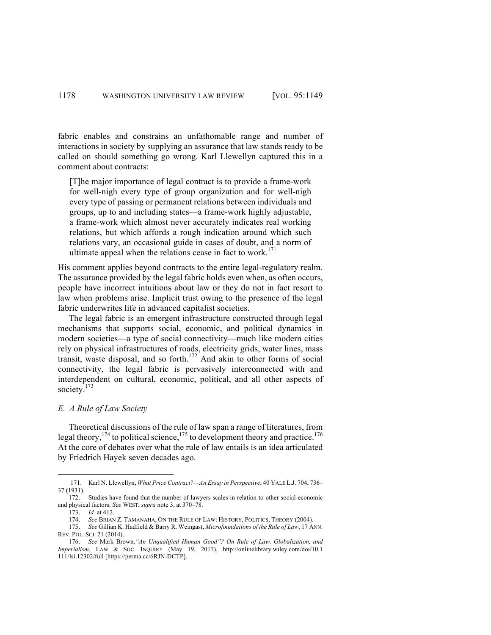fabric enables and constrains an unfathomable range and number of interactions in society by supplying an assurance that law stands ready to be called on should something go wrong. Karl Llewellyn captured this in a comment about contracts:

[T]he major importance of legal contract is to provide a frame-work for well-nigh every type of group organization and for well-nigh every type of passing or permanent relations between individuals and groups, up to and including states—a frame-work highly adjustable, a frame-work which almost never accurately indicates real working relations, but which affords a rough indication around which such relations vary, an occasional guide in cases of doubt, and a norm of ultimate appeal when the relations cease in fact to work.<sup>171</sup>

His comment applies beyond contracts to the entire legal-regulatory realm. The assurance provided by the legal fabric holds even when, as often occurs, people have incorrect intuitions about law or they do not in fact resort to law when problems arise. Implicit trust owing to the presence of the legal fabric underwrites life in advanced capitalist societies.

The legal fabric is an emergent infrastructure constructed through legal mechanisms that supports social, economic, and political dynamics in modern societies—a type of social connectivity—much like modern cities rely on physical infrastructures of roads, electricity grids, water lines, mass transit, waste disposal, and so forth. <sup>172</sup> And akin to other forms of social connectivity, the legal fabric is pervasively interconnected with and interdependent on cultural, economic, political, and all other aspects of society.<sup>173</sup>

## *E. A Rule of Law Society*

Theoretical discussions of the rule of law span a range of literatures, from legal theory,  $^{174}$  to political science,  $^{175}$  to development theory and practice.<sup>176</sup> At the core of debates over what the rule of law entails is an idea articulated by Friedrich Hayek seven decades ago.

 <sup>171.</sup> Karl N. Llewellyn, *What Price Contract?—An Essay in Perspective*, 40 YALE L.J. 704, 736– 37 (1931).

<sup>172.</sup> Studies have found that the number of lawyers scales in relation to other social-economic and physical factors. *See* WEST, *supra* note 3, at 370–78.

<sup>173.</sup> *Id.* at 412.

<sup>174.</sup> *See* BRIAN Z. TAMANAHA, ON THE RULE OF LAW: HISTORY, POLITICS, THEORY (2004).

<sup>175.</sup> *See* Gillian K. Hadfield & Barry R. Weingast, *Microfoundations of the Rule of Law*, 17 ANN. REV. POL. SCI. 21 (2014).

<sup>176.</sup> *See* Mark Brown,*"An Unqualified Human Good"? On Rule of Law, Globalization, and Imperialism*, LAW & SOC. INQUIRY (May 19, 2017), http://onlinelibrary.wiley.com/doi/10.1 111/lsi.12302/full [https://perma.cc/6RJN-DCTP].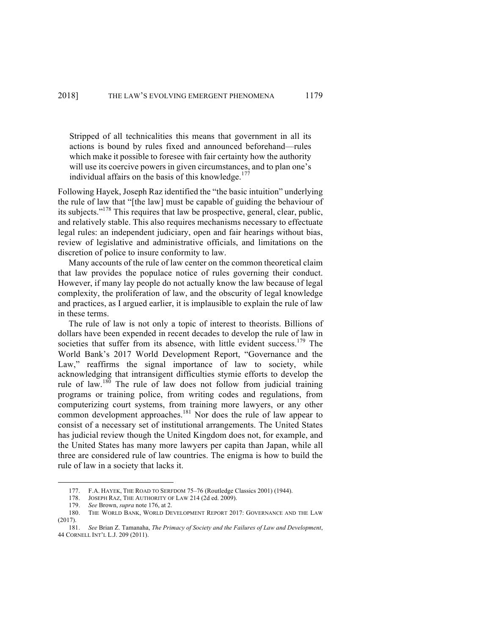Stripped of all technicalities this means that government in all its actions is bound by rules fixed and announced beforehand—rules which make it possible to foresee with fair certainty how the authority will use its coercive powers in given circumstances, and to plan one's individual affairs on the basis of this knowledge. $177$ 

Following Hayek, Joseph Raz identified the "the basic intuition" underlying the rule of law that "[the law] must be capable of guiding the behaviour of its subjects."178 This requires that law be prospective, general, clear, public, and relatively stable. This also requires mechanisms necessary to effectuate legal rules: an independent judiciary, open and fair hearings without bias, review of legislative and administrative officials, and limitations on the discretion of police to insure conformity to law.

Many accounts of the rule of law center on the common theoretical claim that law provides the populace notice of rules governing their conduct. However, if many lay people do not actually know the law because of legal complexity, the proliferation of law, and the obscurity of legal knowledge and practices, as I argued earlier, it is implausible to explain the rule of law in these terms.

The rule of law is not only a topic of interest to theorists. Billions of dollars have been expended in recent decades to develop the rule of law in societies that suffer from its absence, with little evident success.<sup>179</sup> The World Bank's 2017 World Development Report, "Governance and the Law," reaffirms the signal importance of law to society, while acknowledging that intransigent difficulties stymie efforts to develop the rule of law.<sup>180</sup> The rule of law does not follow from judicial training programs or training police, from writing codes and regulations, from computerizing court systems, from training more lawyers, or any other common development approaches. <sup>181</sup> Nor does the rule of law appear to consist of a necessary set of institutional arrangements. The United States has judicial review though the United Kingdom does not, for example, and the United States has many more lawyers per capita than Japan, while all three are considered rule of law countries. The enigma is how to build the rule of law in a society that lacks it.

 <sup>177.</sup> F.A. HAYEK, THE ROAD TO SERFDOM 75–76 (Routledge Classics 2001) (1944).

<sup>178.</sup> JOSEPH RAZ, THE AUTHORITY OF LAW 214 (2d ed. 2009).

<sup>179.</sup> *See* Brown, *supra* note 176, at 2.

<sup>180.</sup> THE WORLD BANK, WORLD DEVELOPMENT REPORT 2017: GOVERNANCE AND THE LAW (2017).

<sup>181.</sup> *See* Brian Z. Tamanaha, *The Primacy of Society and the Failures of Law and Development*, 44 CORNELL INT'L L.J. 209 (2011).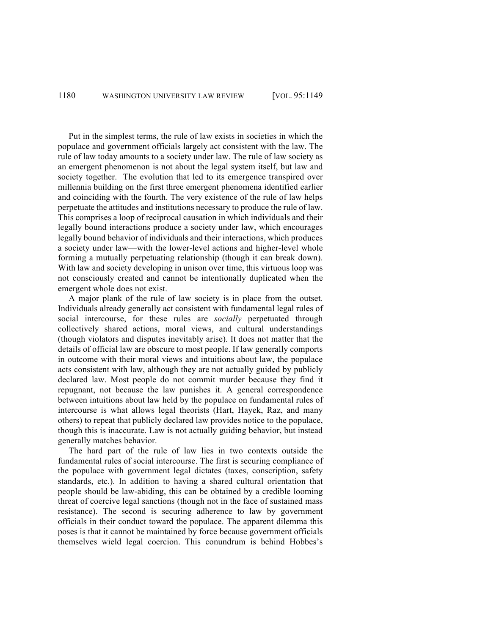Put in the simplest terms, the rule of law exists in societies in which the populace and government officials largely act consistent with the law. The rule of law today amounts to a society under law. The rule of law society as an emergent phenomenon is not about the legal system itself, but law and society together. The evolution that led to its emergence transpired over millennia building on the first three emergent phenomena identified earlier and coinciding with the fourth. The very existence of the rule of law helps perpetuate the attitudes and institutions necessary to produce the rule of law. This comprises a loop of reciprocal causation in which individuals and their legally bound interactions produce a society under law, which encourages legally bound behavior of individuals and their interactions, which produces a society under law—with the lower-level actions and higher-level whole forming a mutually perpetuating relationship (though it can break down). With law and society developing in unison over time, this virtuous loop was not consciously created and cannot be intentionally duplicated when the emergent whole does not exist.

A major plank of the rule of law society is in place from the outset. Individuals already generally act consistent with fundamental legal rules of social intercourse, for these rules are *socially* perpetuated through collectively shared actions, moral views, and cultural understandings (though violators and disputes inevitably arise). It does not matter that the details of official law are obscure to most people. If law generally comports in outcome with their moral views and intuitions about law, the populace acts consistent with law, although they are not actually guided by publicly declared law. Most people do not commit murder because they find it repugnant, not because the law punishes it. A general correspondence between intuitions about law held by the populace on fundamental rules of intercourse is what allows legal theorists (Hart, Hayek, Raz, and many others) to repeat that publicly declared law provides notice to the populace, though this is inaccurate. Law is not actually guiding behavior, but instead generally matches behavior.

The hard part of the rule of law lies in two contexts outside the fundamental rules of social intercourse. The first is securing compliance of the populace with government legal dictates (taxes, conscription, safety standards, etc.). In addition to having a shared cultural orientation that people should be law-abiding, this can be obtained by a credible looming threat of coercive legal sanctions (though not in the face of sustained mass resistance). The second is securing adherence to law by government officials in their conduct toward the populace. The apparent dilemma this poses is that it cannot be maintained by force because government officials themselves wield legal coercion. This conundrum is behind Hobbes's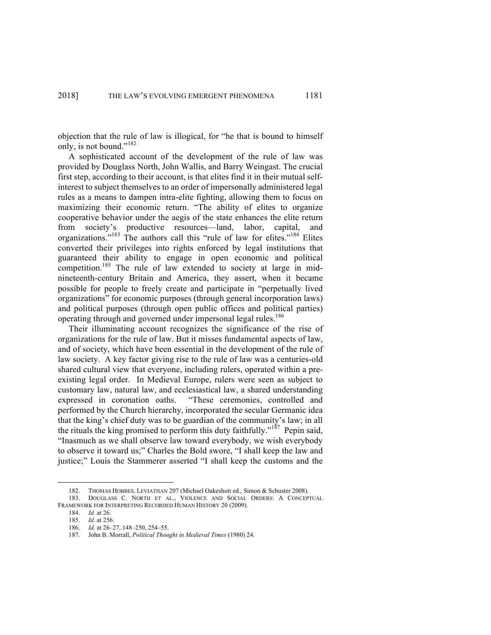objection that the rule of law is illogical, for "he that is bound to himself only, is not bound."<sup>182</sup>

A sophisticated account of the development of the rule of law was provided by Douglass North, John Wallis, and Barry Weingast. The crucial first step, according to their account, is that elites find it in their mutual selfinterest to subject themselves to an order of impersonally administered legal rules as a means to dampen intra-elite fighting, allowing them to focus on maximizing their economic return. "The ability of elites to organize cooperative behavior under the aegis of the state enhances the elite return from society's productive resources—land, labor, capital, and organizations."<sup>183</sup> The authors call this "rule of law for elites."<sup>184</sup> Elites converted their privileges into rights enforced by legal institutions that guaranteed their ability to engage in open economic and political competition.<sup>185</sup> The rule of law extended to society at large in midnineteenth-century Britain and America, they assert, when it became possible for people to freely create and participate in "perpetually lived organizations" for economic purposes (through general incorporation laws) and political purposes (through open public offices and political parties) operating through and governed under impersonal legal rules.<sup>186</sup>

Their illuminating account recognizes the significance of the rise of organizations for the rule of law. But it misses fundamental aspects of law, and of society, which have been essential in the development of the rule of law society. A key factor giving rise to the rule of law was a centuries-old shared cultural view that everyone, including rulers, operated within a preexisting legal order. In Medieval Europe, rulers were seen as subject to customary law, natural law, and ecclesiastical law, a shared understanding expressed in coronation oaths. "These ceremonies, controlled and performed by the Church hierarchy, incorporated the secular Germanic idea that the king's chief duty was to be guardian of the community's law; in all the rituals the king promised to perform this duty faithfully."<sup>187</sup> Pepin said, "Inasmuch as we shall observe law toward everybody, we wish everybody to observe it toward us;" Charles the Bold swore, "I shall keep the law and justice;" Louis the Stammerer asserted "I shall keep the customs and the

 <sup>182.</sup> THOMAS HOBBES, LEVIATHAN 207 (Michael Oakeshott ed., Simon & Schuster 2008).

<sup>183.</sup> DOUGLASS C. NORTH ET AL., VIOLENCE AND SOCIAL ORDERS: A CONCEPTUAL FRAMEWORK FOR INTERPRETING RECORDED HUMAN HISTORY 20 (2009).

<sup>184.</sup> *Id.* at 26.

<sup>185.</sup> *Id.* at 256.

<sup>186.</sup> *Id.* at 26–27, 148–250, 254–55.

<sup>187.</sup> John B. Morrall, *Political Thought in Medieval Times* (1980) 24.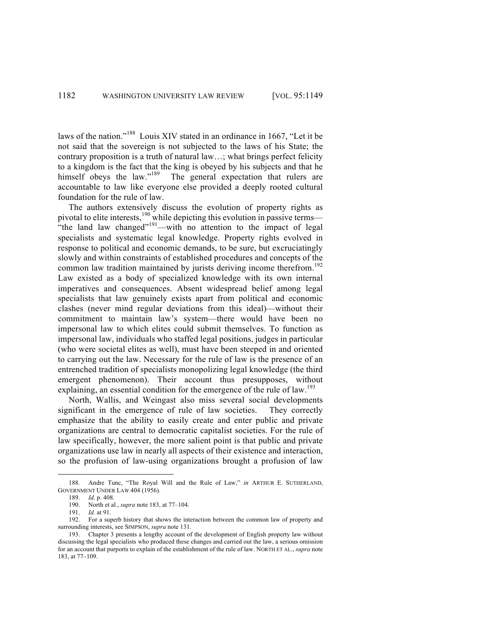laws of the nation."<sup>188</sup> Louis XIV stated in an ordinance in 1667, "Let it be not said that the sovereign is not subjected to the laws of his State; the contrary proposition is a truth of natural law…; what brings perfect felicity to a kingdom is the fact that the king is obeyed by his subjects and that he himself obeys the law."<sup>189</sup> The general expectation that rulers are accountable to law like everyone else provided a deeply rooted cultural foundation for the rule of law.

The authors extensively discuss the evolution of property rights as pivotal to elite interests, <sup>190</sup> while depicting this evolution in passive terms— "the land law changed"<sup>191</sup>—with no attention to the impact of legal specialists and systematic legal knowledge. Property rights evolved in response to political and economic demands, to be sure, but excruciatingly slowly and within constraints of established procedures and concepts of the common law tradition maintained by jurists deriving income therefrom.<sup>192</sup> Law existed as a body of specialized knowledge with its own internal imperatives and consequences. Absent widespread belief among legal specialists that law genuinely exists apart from political and economic clashes (never mind regular deviations from this ideal)—without their commitment to maintain law's system—there would have been no impersonal law to which elites could submit themselves. To function as impersonal law, individuals who staffed legal positions, judges in particular (who were societal elites as well), must have been steeped in and oriented to carrying out the law. Necessary for the rule of law is the presence of an entrenched tradition of specialists monopolizing legal knowledge (the third emergent phenomenon). Their account thus presupposes, without explaining, an essential condition for the emergence of the rule of law.<sup>193</sup>

North, Wallis, and Weingast also miss several social developments significant in the emergence of rule of law societies. They correctly emphasize that the ability to easily create and enter public and private organizations are central to democratic capitalist societies. For the rule of law specifically, however, the more salient point is that public and private organizations use law in nearly all aspects of their existence and interaction, so the profusion of law-using organizations brought a profusion of law

 <sup>188.</sup> Andre Tunc, "The Royal Will and the Rule of Law," *in* ARTHUR E. SUTHERLAND, GOVERNMENT UNDER LAW 404 (1956).

<sup>189.</sup> *Id*. p. 408.

<sup>190.</sup> North et al., *supra* note 183, at 77–104.

<sup>191.</sup> *Id.* at 91.

<sup>192.</sup> For a superb history that shows the interaction between the common law of property and surrounding interests, see SIMPSON, *supra* note 131.

<sup>193.</sup> Chapter 3 presents a lengthy account of the development of English property law without discussing the legal specialists who produced these changes and carried out the law, a serious omission for an account that purports to explain of the establishment of the rule of law. NORTH ET AL., *supra* note 183, at 77–109.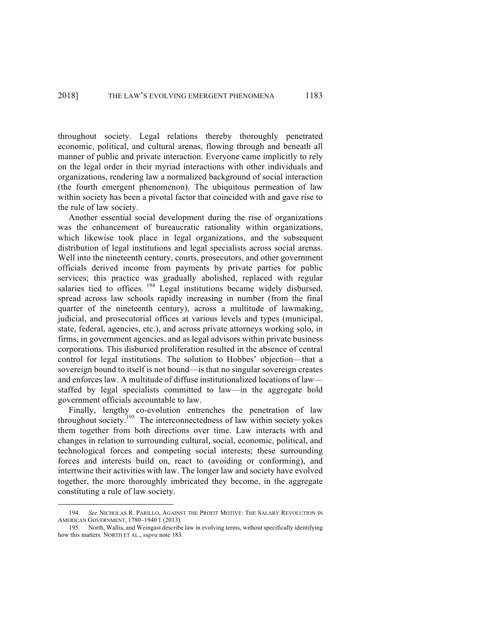throughout society. Legal relations thereby thoroughly penetrated economic, political, and cultural arenas, flowing through and beneath all manner of public and private interaction. Everyone came implicitly to rely on the legal order in their myriad interactions with other individuals and organizations, rendering law a normalized background of social interaction (the fourth emergent phenomenon). The ubiquitous permeation of law within society has been a pivotal factor that coincided with and gave rise to the rule of law society.

Another essential social development during the rise of organizations was the enhancement of bureaucratic rationality within organizations, which likewise took place in legal organizations, and the subsequent distribution of legal institutions and legal specialists across social arenas. Well into the nineteenth century, courts, prosecutors, and other government officials derived income from payments by private parties for public services; this practice was gradually abolished, replaced with regular salaries tied to offices. <sup>194</sup> Legal institutions became widely disbursed, spread across law schools rapidly increasing in number (from the final quarter of the nineteenth century), across a multitude of lawmaking, judicial, and prosecutorial offices at various levels and types (municipal, state, federal, agencies, etc.), and across private attorneys working solo, in firms, in government agencies, and as legal advisors within private business corporations. This disbursed proliferation resulted in the absence of central control for legal institutions. The solution to Hobbes' objection—that a sovereign bound to itself is not bound—is that no singular sovereign creates and enforces law. A multitude of diffuse institutionalized locations of law staffed by legal specialists committed to law—in the aggregate hold government officials accountable to law.

Finally, lengthy co-evolution entrenches the penetration of law throughout society.<sup>195</sup> The interconnectedness of law within society yokes them together from both directions over time. Law interacts with and changes in relation to surrounding cultural, social, economic, political, and technological forces and competing social interests; these surrounding forces and interests build on, react to (avoiding or conforming), and intertwine their activities with law. The longer law and society have evolved together, the more thoroughly imbricated they become, in the aggregate constituting a rule of law society.

 <sup>194.</sup> *See* NICHOLAS R. PARILLO, AGAINST THE PROFIT MOTIVE: THE SALARY REVOLUTION IN AMERICAN GOVERNMENT, 1780–1940 1 (2013).

<sup>195.</sup> North, Wallis, and Weingast describe law in evolving terms, without specifically identifying how this matters. NORTH ET AL., *supra* note 183.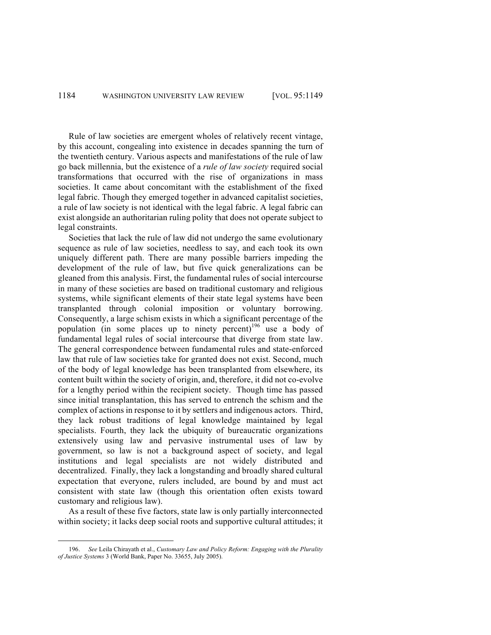Rule of law societies are emergent wholes of relatively recent vintage, by this account, congealing into existence in decades spanning the turn of the twentieth century. Various aspects and manifestations of the rule of law go back millennia, but the existence of a *rule of law society* required social transformations that occurred with the rise of organizations in mass societies. It came about concomitant with the establishment of the fixed legal fabric. Though they emerged together in advanced capitalist societies, a rule of law society is not identical with the legal fabric. A legal fabric can exist alongside an authoritarian ruling polity that does not operate subject to legal constraints.

Societies that lack the rule of law did not undergo the same evolutionary sequence as rule of law societies, needless to say, and each took its own uniquely different path. There are many possible barriers impeding the development of the rule of law, but five quick generalizations can be gleaned from this analysis. First, the fundamental rules of social intercourse in many of these societies are based on traditional customary and religious systems, while significant elements of their state legal systems have been transplanted through colonial imposition or voluntary borrowing. Consequently, a large schism exists in which a significant percentage of the population (in some places up to ninety percent)<sup>196</sup> use a body of fundamental legal rules of social intercourse that diverge from state law. The general correspondence between fundamental rules and state-enforced law that rule of law societies take for granted does not exist. Second, much of the body of legal knowledge has been transplanted from elsewhere, its content built within the society of origin, and, therefore, it did not co-evolve for a lengthy period within the recipient society. Though time has passed since initial transplantation, this has served to entrench the schism and the complex of actions in response to it by settlers and indigenous actors. Third, they lack robust traditions of legal knowledge maintained by legal specialists. Fourth, they lack the ubiquity of bureaucratic organizations extensively using law and pervasive instrumental uses of law by government, so law is not a background aspect of society, and legal institutions and legal specialists are not widely distributed and decentralized. Finally, they lack a longstanding and broadly shared cultural expectation that everyone, rulers included, are bound by and must act consistent with state law (though this orientation often exists toward customary and religious law).

As a result of these five factors, state law is only partially interconnected within society; it lacks deep social roots and supportive cultural attitudes; it

 <sup>196.</sup> *See* Leila Chirayath et al., *Customary Law and Policy Reform: Engaging with the Plurality of Justice Systems* 3 (World Bank, Paper No. 33655, July 2005).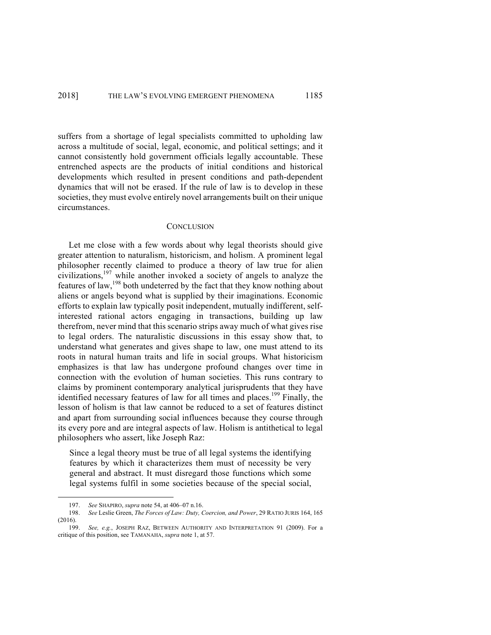suffers from a shortage of legal specialists committed to upholding law across a multitude of social, legal, economic, and political settings; and it cannot consistently hold government officials legally accountable. These entrenched aspects are the products of initial conditions and historical developments which resulted in present conditions and path-dependent dynamics that will not be erased. If the rule of law is to develop in these societies, they must evolve entirely novel arrangements built on their unique circumstances.

#### **CONCLUSION**

Let me close with a few words about why legal theorists should give greater attention to naturalism, historicism, and holism. A prominent legal philosopher recently claimed to produce a theory of law true for alien civilizations,<sup>197</sup> while another invoked a society of angels to analyze the features of law,<sup>198</sup> both undeterred by the fact that they know nothing about aliens or angels beyond what is supplied by their imaginations. Economic efforts to explain law typically posit independent, mutually indifferent, selfinterested rational actors engaging in transactions, building up law therefrom, never mind that this scenario strips away much of what gives rise to legal orders. The naturalistic discussions in this essay show that, to understand what generates and gives shape to law, one must attend to its roots in natural human traits and life in social groups. What historicism emphasizes is that law has undergone profound changes over time in connection with the evolution of human societies. This runs contrary to claims by prominent contemporary analytical jurisprudents that they have identified necessary features of law for all times and places.<sup>199</sup> Finally, the lesson of holism is that law cannot be reduced to a set of features distinct and apart from surrounding social influences because they course through its every pore and are integral aspects of law. Holism is antithetical to legal philosophers who assert, like Joseph Raz:

Since a legal theory must be true of all legal systems the identifying features by which it characterizes them must of necessity be very general and abstract. It must disregard those functions which some legal systems fulfil in some societies because of the special social,

 <sup>197.</sup> *See* SHAPIRO, *supra* note 54, at 406–07 n.16.

<sup>198.</sup> *See* Leslie Green, *The Forces of Law: Duty, Coercion, and Power*, 29 RATIO JURIS 164, 165 (2016).

<sup>199.</sup> *See, e.g.*, JOSEPH RAZ, BETWEEN AUTHORITY AND INTERPRETATION 91 (2009). For a critique of this position, see TAMANAHA, *supra* note 1, at 57.